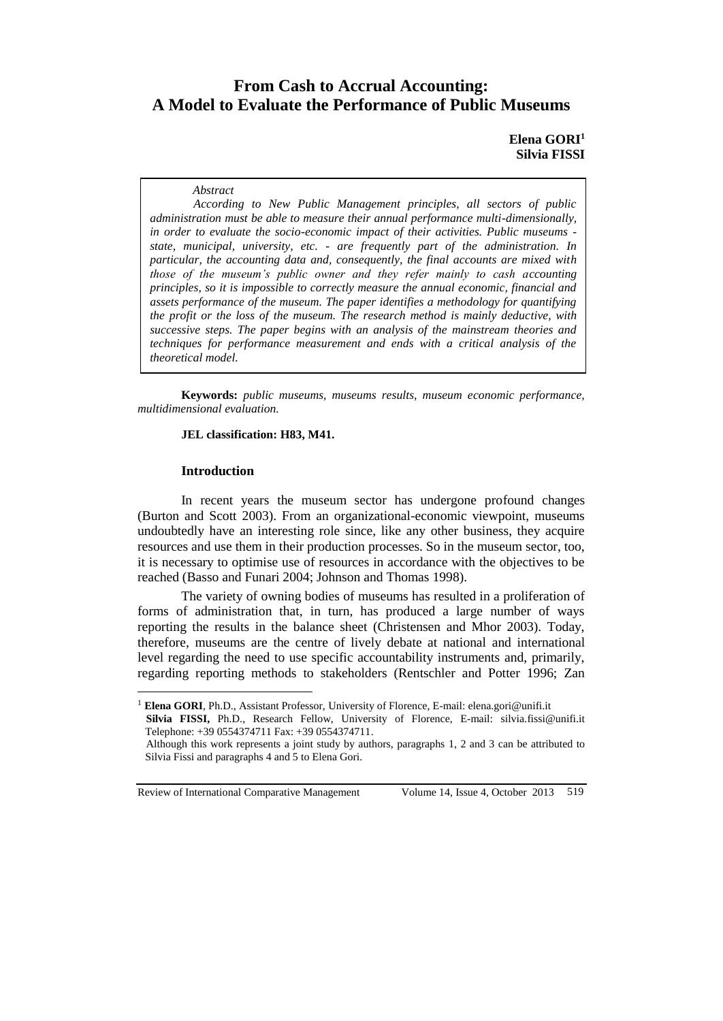# **From Cash to Accrual Accounting: A Model to Evaluate the Performance of Public Museums**

# **Elena GORI<sup>1</sup> Silvia FISSI**

#### *Abstract*

*According to New Public Management principles, all sectors of public administration must be able to measure their annual performance multi-dimensionally, in order to evaluate the socio-economic impact of their activities. Public museums state, municipal, university, etc. - are frequently part of the administration. In particular, the accounting data and, consequently, the final accounts are mixed with those of the museum's public owner and they refer mainly to cash accounting principles, so it is impossible to correctly measure the annual economic, financial and assets performance of the museum. The paper identifies a methodology for quantifying the profit or the loss of the museum. The research method is mainly deductive, with successive steps. The paper begins with an analysis of the mainstream theories and techniques for performance measurement and ends with a critical analysis of the theoretical model.*

**Keywords:** *public museums, museums results, museum economic performance, multidimensional evaluation.*

## **JEL classification: H83, M41.**

## **Introduction**

 $\overline{a}$ 

In recent years the museum sector has undergone profound changes (Burton and Scott 2003). From an organizational-economic viewpoint, museums undoubtedly have an interesting role since, like any other business, they acquire resources and use them in their production processes. So in the museum sector, too, it is necessary to optimise use of resources in accordance with the objectives to be reached (Basso and Funari 2004; Johnson and Thomas 1998).

The variety of owning bodies of museums has resulted in a proliferation of forms of administration that, in turn, has produced a large number of ways reporting the results in the balance sheet (Christensen and Mhor 2003). Today, therefore, museums are the centre of lively debate at national and international level regarding the need to use specific accountability instruments and, primarily, regarding reporting methods to stakeholders (Rentschler and Potter 1996; Zan

<sup>&</sup>lt;sup>1</sup> Elena GORI, Ph.D., Assistant Professor, University of Florence, E-mail: elena.gori@unifi.it

**Silvia FISSI,** Ph.D., Research Fellow, University of Florence, E-mail: silvia.fissi@unifi.it Telephone: +39 0554374711 Fax: +39 0554374711.

Although this work represents a joint study by authors, paragraphs 1, 2 and 3 can be attributed to Silvia Fissi and paragraphs 4 and 5 to Elena Gori.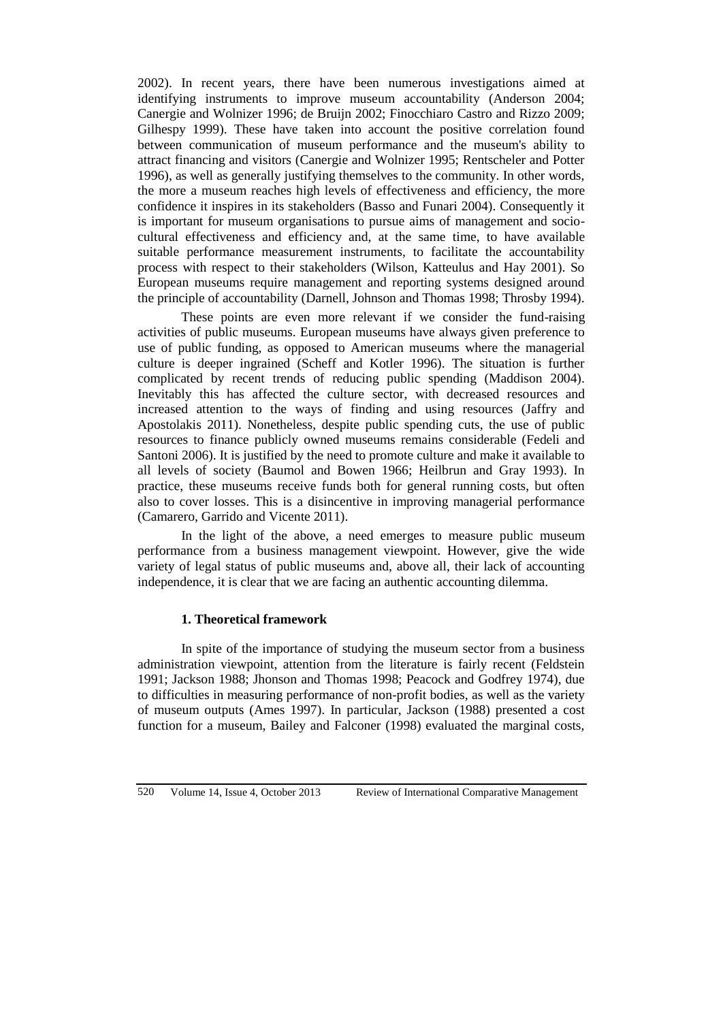2002). In recent years, there have been numerous investigations aimed at identifying instruments to improve museum accountability (Anderson 2004; Canergie and Wolnizer 1996; de Bruijn 2002; Finocchiaro Castro and Rizzo 2009; Gilhespy 1999). These have taken into account the positive correlation found between communication of museum performance and the museum's ability to attract financing and visitors (Canergie and Wolnizer 1995; Rentscheler and Potter 1996), as well as generally justifying themselves to the community. In other words, the more a museum reaches high levels of effectiveness and efficiency, the more confidence it inspires in its stakeholders (Basso and Funari 2004). Consequently it is important for museum organisations to pursue aims of management and sociocultural effectiveness and efficiency and, at the same time, to have available suitable performance measurement instruments, to facilitate the accountability process with respect to their stakeholders (Wilson, Katteulus and Hay 2001). So European museums require management and reporting systems designed around the principle of accountability (Darnell, Johnson and Thomas 1998; Throsby 1994).

These points are even more relevant if we consider the fund-raising activities of public museums. European museums have always given preference to use of public funding, as opposed to American museums where the managerial culture is deeper ingrained (Scheff and Kotler 1996). The situation is further complicated by recent trends of reducing public spending (Maddison 2004). Inevitably this has affected the culture sector, with decreased resources and increased attention to the ways of finding and using resources (Jaffry and Apostolakis 2011). Nonetheless, despite public spending cuts, the use of public resources to finance publicly owned museums remains considerable (Fedeli and Santoni 2006). It is justified by the need to promote culture and make it available to all levels of society (Baumol and Bowen 1966; Heilbrun and Gray 1993). In practice, these museums receive funds both for general running costs, but often also to cover losses. This is a disincentive in improving managerial performance (Camarero, Garrido and Vicente 2011).

In the light of the above, a need emerges to measure public museum performance from a business management viewpoint. However, give the wide variety of legal status of public museums and, above all, their lack of accounting independence, it is clear that we are facing an authentic accounting dilemma.

#### **1. Theoretical framework**

In spite of the importance of studying the museum sector from a business administration viewpoint, attention from the literature is fairly recent (Feldstein 1991; Jackson 1988; Jhonson and Thomas 1998; Peacock and Godfrey 1974), due to difficulties in measuring performance of non-profit bodies, as well as the variety of museum outputs (Ames 1997). In particular, Jackson (1988) presented a cost function for a museum, Bailey and Falconer (1998) evaluated the marginal costs,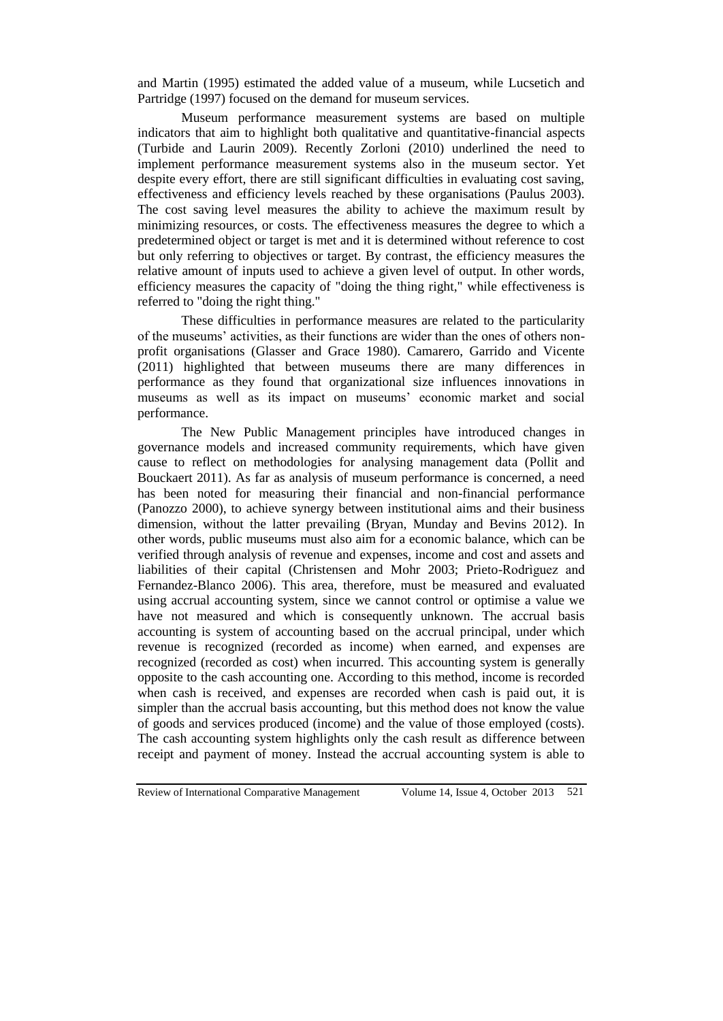and Martin (1995) estimated the added value of a museum, while Lucsetich and Partridge (1997) focused on the demand for museum services.

Museum performance measurement systems are based on multiple indicators that aim to highlight both qualitative and quantitative-financial aspects (Turbide and Laurin 2009). Recently Zorloni (2010) underlined the need to implement performance measurement systems also in the museum sector. Yet despite every effort, there are still significant difficulties in evaluating cost saving, effectiveness and efficiency levels reached by these organisations (Paulus 2003). The cost saving level measures the ability to achieve the maximum result by minimizing resources, or costs. The effectiveness measures the degree to which a predetermined object or target is met and it is determined without reference to cost but only referring to objectives or target. By contrast, the efficiency measures the relative amount of inputs used to achieve a given level of output. In other words, efficiency measures the capacity of "doing the thing right," while effectiveness is referred to "doing the right thing."

These difficulties in performance measures are related to the particularity of the museums' activities, as their functions are wider than the ones of others nonprofit organisations (Glasser and Grace 1980). Camarero, Garrido and Vicente (2011) highlighted that between museums there are many differences in performance as they found that organizational size influences innovations in museums as well as its impact on museums' economic market and social performance.

The New Public Management principles have introduced changes in governance models and increased community requirements, which have given cause to reflect on methodologies for analysing management data (Pollit and Bouckaert 2011). As far as analysis of museum performance is concerned, a need has been noted for measuring their financial and non-financial performance (Panozzo 2000), to achieve synergy between institutional aims and their business dimension, without the latter prevailing (Bryan, Munday and Bevins 2012). In other words, public museums must also aim for a economic balance, which can be verified through analysis of revenue and expenses, income and cost and assets and liabilities of their capital (Christensen and Mohr 2003; Prieto-Rodrìguez and Fernandez-Blanco 2006). This area, therefore, must be measured and evaluated using accrual accounting system, since we cannot control or optimise a value we have not measured and which is consequently unknown. The accrual basis accounting is system of accounting based on the accrual principal, under which revenue is recognized (recorded as income) when earned, and expenses are recognized (recorded as cost) when incurred. This accounting system is generally opposite to the cash accounting one. According to this method, income is recorded when cash is received, and expenses are recorded when cash is paid out, it is simpler than the accrual basis accounting, but this method does not know the value of goods and services produced (income) and the value of those employed (costs). The cash accounting system highlights only the cash result as difference between receipt and payment of money. Instead the accrual accounting system is able to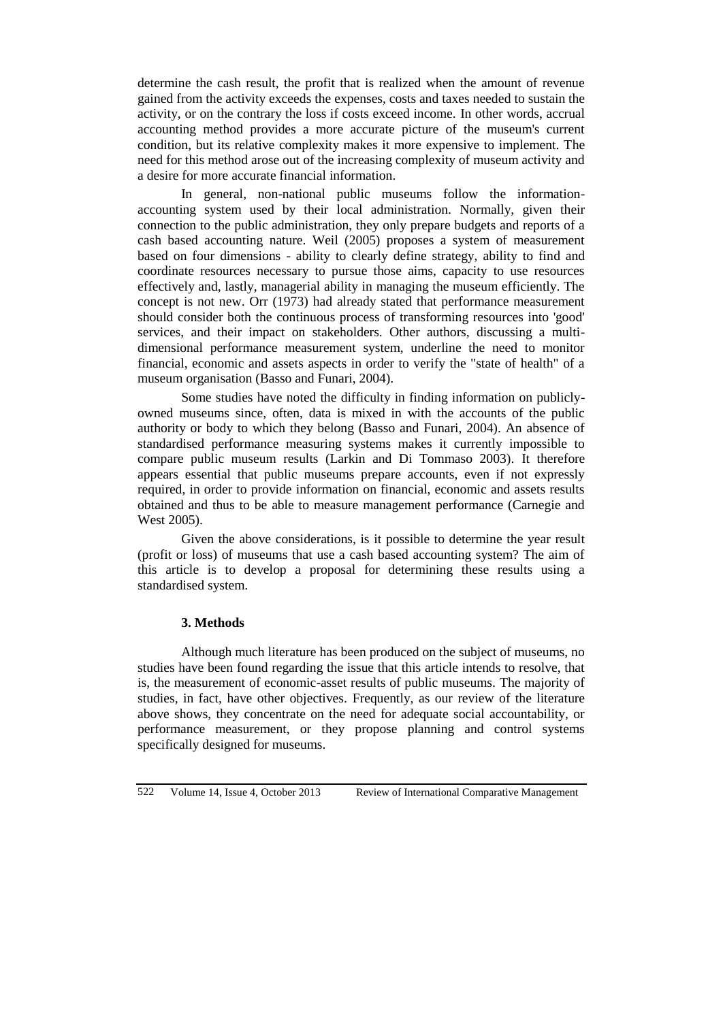determine the cash result, the profit that is realized when the amount of revenue gained from the activity exceeds the expenses, costs and taxes needed to sustain the activity, or on the contrary the loss if costs exceed income. In other words, accrual accounting method provides a more accurate picture of the museum's current condition, but its relative complexity makes it more expensive to implement. The need for this method arose out of the increasing complexity of museum activity and a desire for more accurate financial information.

In general, non-national public museums follow the informationaccounting system used by their local administration. Normally, given their connection to the public administration, they only prepare budgets and reports of a cash based accounting nature. Weil (2005) proposes a system of measurement based on four dimensions - ability to clearly define strategy, ability to find and coordinate resources necessary to pursue those aims, capacity to use resources effectively and, lastly, managerial ability in managing the museum efficiently. The concept is not new. Orr (1973) had already stated that performance measurement should consider both the continuous process of transforming resources into 'good' services, and their impact on stakeholders. Other authors, discussing a multidimensional performance measurement system, underline the need to monitor financial, economic and assets aspects in order to verify the "state of health" of a museum organisation (Basso and Funari, 2004).

Some studies have noted the difficulty in finding information on publiclyowned museums since, often, data is mixed in with the accounts of the public authority or body to which they belong (Basso and Funari, 2004). An absence of standardised performance measuring systems makes it currently impossible to compare public museum results (Larkin and Di Tommaso 2003). It therefore appears essential that public museums prepare accounts, even if not expressly required, in order to provide information on financial, economic and assets results obtained and thus to be able to measure management performance (Carnegie and West 2005).

Given the above considerations, is it possible to determine the year result (profit or loss) of museums that use a cash based accounting system? The aim of this article is to develop a proposal for determining these results using a standardised system.

#### **3. Methods**

Although much literature has been produced on the subject of museums, no studies have been found regarding the issue that this article intends to resolve, that is, the measurement of economic-asset results of public museums. The majority of studies, in fact, have other objectives. Frequently, as our review of the literature above shows, they concentrate on the need for adequate social accountability, or performance measurement, or they propose planning and control systems specifically designed for museums.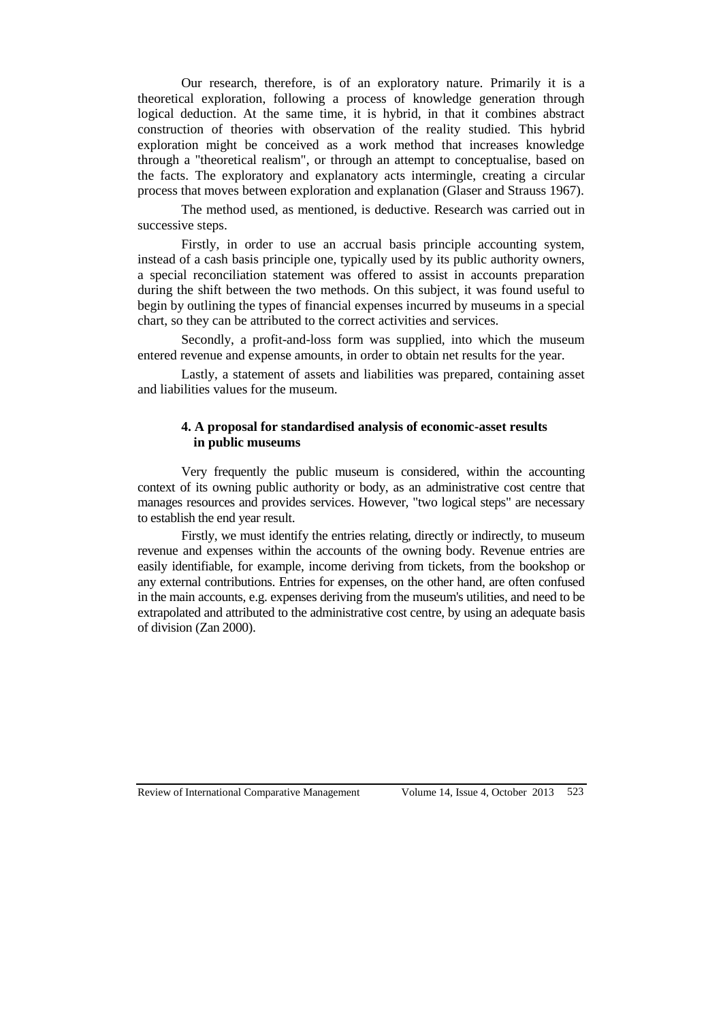Our research, therefore, is of an exploratory nature. Primarily it is a theoretical exploration, following a process of knowledge generation through logical deduction. At the same time, it is hybrid, in that it combines abstract construction of theories with observation of the reality studied. This hybrid exploration might be conceived as a work method that increases knowledge through a "theoretical realism", or through an attempt to conceptualise, based on the facts. The exploratory and explanatory acts intermingle, creating a circular process that moves between exploration and explanation (Glaser and Strauss 1967).

The method used, as mentioned, is deductive. Research was carried out in successive steps.

Firstly, in order to use an accrual basis principle accounting system, instead of a cash basis principle one, typically used by its public authority owners, a special reconciliation statement was offered to assist in accounts preparation during the shift between the two methods. On this subject, it was found useful to begin by outlining the types of financial expenses incurred by museums in a special chart, so they can be attributed to the correct activities and services.

Secondly, a profit-and-loss form was supplied, into which the museum entered revenue and expense amounts, in order to obtain net results for the year.

Lastly, a statement of assets and liabilities was prepared, containing asset and liabilities values for the museum.

# **4. A proposal for standardised analysis of economic-asset results in public museums**

Very frequently the public museum is considered, within the accounting context of its owning public authority or body, as an administrative cost centre that manages resources and provides services. However, "two logical steps" are necessary to establish the end year result.

Firstly, we must identify the entries relating, directly or indirectly, to museum revenue and expenses within the accounts of the owning body. Revenue entries are easily identifiable, for example, income deriving from tickets, from the bookshop or any external contributions. Entries for expenses, on the other hand, are often confused in the main accounts, e.g. expenses deriving from the museum's utilities, and need to be extrapolated and attributed to the administrative cost centre, by using an adequate basis of division (Zan 2000).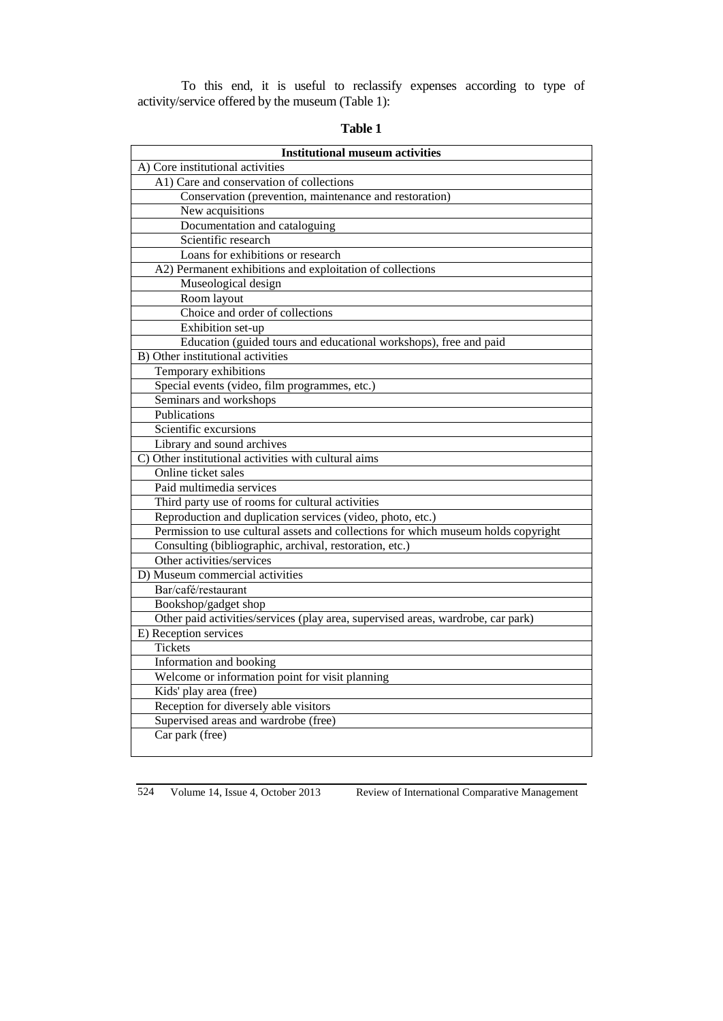To this end, it is useful to reclassify expenses according to type of activity/service offered by the museum (Table 1):

| <b>Institutional museum activities</b>                                             |
|------------------------------------------------------------------------------------|
| A) Core institutional activities                                                   |
| A1) Care and conservation of collections                                           |
| Conservation (prevention, maintenance and restoration)                             |
| New acquisitions                                                                   |
| Documentation and cataloguing                                                      |
| Scientific research                                                                |
| Loans for exhibitions or research                                                  |
| A2) Permanent exhibitions and exploitation of collections                          |
| Museological design                                                                |
| Room layout                                                                        |
| Choice and order of collections                                                    |
| Exhibition set-up                                                                  |
| Education (guided tours and educational workshops), free and paid                  |
| B) Other institutional activities                                                  |
| Temporary exhibitions                                                              |
| Special events (video, film programmes, etc.)                                      |
| Seminars and workshops                                                             |
| Publications                                                                       |
| Scientific excursions                                                              |
| Library and sound archives                                                         |
| C) Other institutional activities with cultural aims                               |
| Online ticket sales                                                                |
| Paid multimedia services                                                           |
| Third party use of rooms for cultural activities                                   |
| Reproduction and duplication services (video, photo, etc.)                         |
| Permission to use cultural assets and collections for which museum holds copyright |
| Consulting (bibliographic, archival, restoration, etc.)                            |
| Other activities/services                                                          |
| D) Museum commercial activities                                                    |
| Bar/café/restaurant                                                                |
| Bookshop/gadget shop                                                               |
| Other paid activities/services (play area, supervised areas, wardrobe, car park)   |
| E) Reception services                                                              |
| <b>Tickets</b>                                                                     |
| Information and booking                                                            |
| Welcome or information point for visit planning                                    |
| Kids' play area (free)                                                             |
| Reception for diversely able visitors                                              |
| Supervised areas and wardrobe (free)                                               |
| Car park (free)                                                                    |
|                                                                                    |

**Table 1**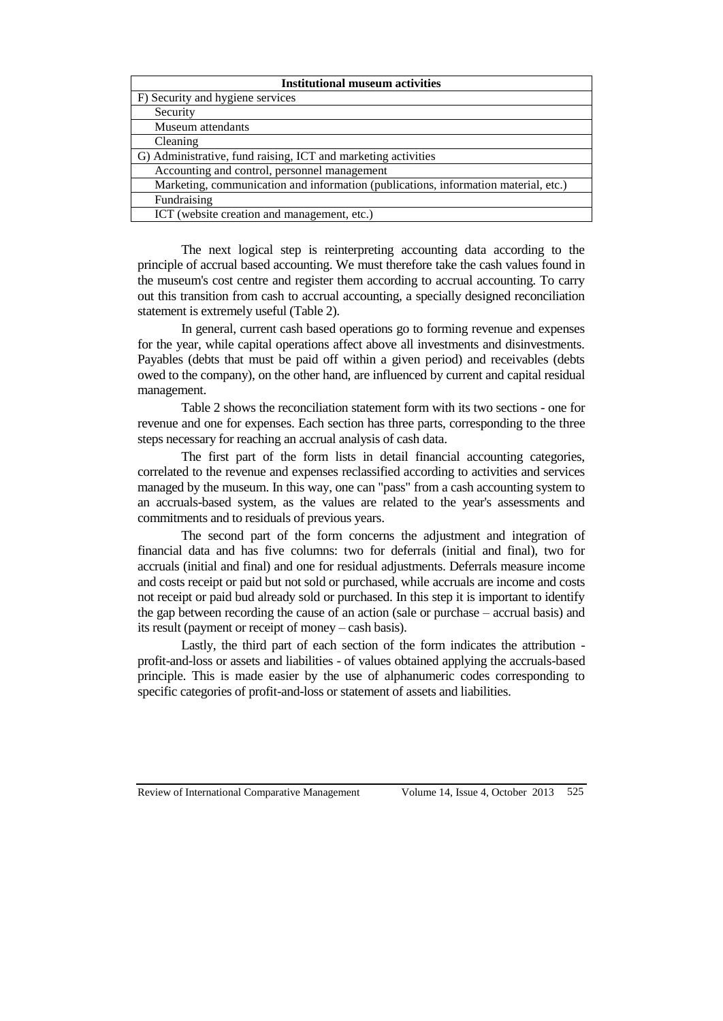| <b>Institutional museum activities</b>                                              |
|-------------------------------------------------------------------------------------|
| F) Security and hygiene services                                                    |
| Security                                                                            |
| Museum attendants                                                                   |
| Cleaning                                                                            |
| G) Administrative, fund raising, ICT and marketing activities                       |
| Accounting and control, personnel management                                        |
| Marketing, communication and information (publications, information material, etc.) |
| Fundraising                                                                         |
| ICT (website creation and management, etc.)                                         |

The next logical step is reinterpreting accounting data according to the principle of accrual based accounting. We must therefore take the cash values found in the museum's cost centre and register them according to accrual accounting. To carry out this transition from cash to accrual accounting, a specially designed reconciliation statement is extremely useful (Table 2).

In general, current cash based operations go to forming revenue and expenses for the year, while capital operations affect above all investments and disinvestments. Payables (debts that must be paid off within a given period) and receivables (debts owed to the company), on the other hand, are influenced by current and capital residual management.

Table 2 shows the reconciliation statement form with its two sections - one for revenue and one for expenses. Each section has three parts, corresponding to the three steps necessary for reaching an accrual analysis of cash data.

The first part of the form lists in detail financial accounting categories, correlated to the revenue and expenses reclassified according to activities and services managed by the museum. In this way, one can "pass" from a cash accounting system to an accruals-based system, as the values are related to the year's assessments and commitments and to residuals of previous years.

The second part of the form concerns the adjustment and integration of financial data and has five columns: two for deferrals (initial and final), two for accruals (initial and final) and one for residual adjustments. Deferrals measure income and costs receipt or paid but not sold or purchased, while accruals are income and costs not receipt or paid bud already sold or purchased. In this step it is important to identify the gap between recording the cause of an action (sale or purchase – accrual basis) and its result (payment or receipt of money – cash basis).

Lastly, the third part of each section of the form indicates the attribution profit-and-loss or assets and liabilities - of values obtained applying the accruals-based principle. This is made easier by the use of alphanumeric codes corresponding to specific categories of profit-and-loss or statement of assets and liabilities.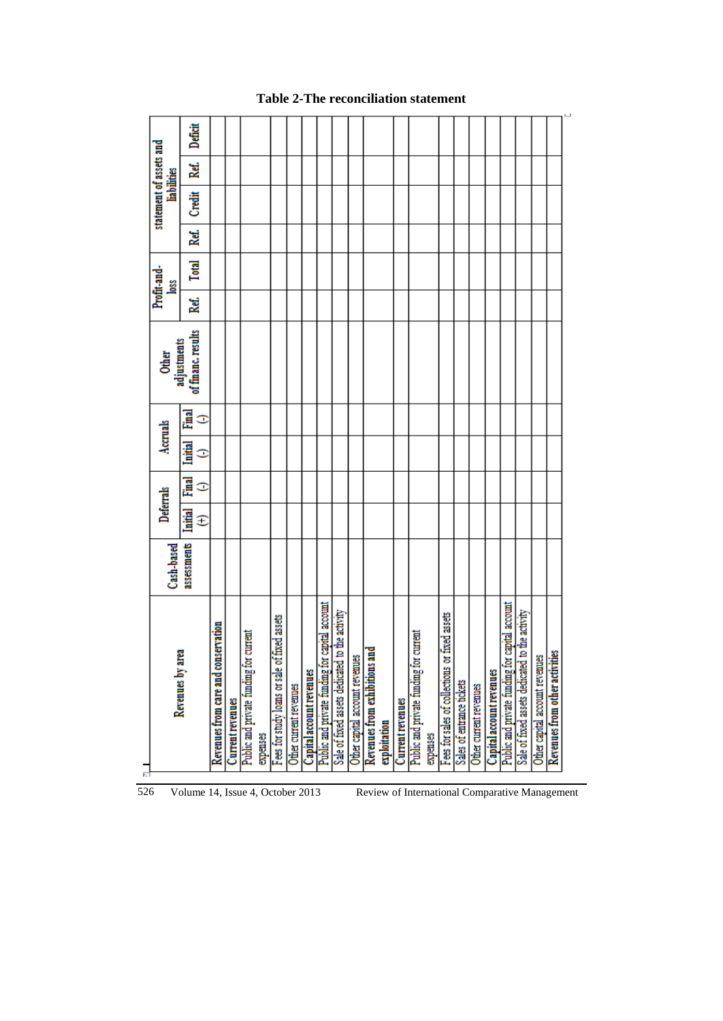|                                                  |             | Deferrals         |                   | Accruals            |        | Other<br>adjustments |      | Profit-and-  |      | statement of assets and |      |         |
|--------------------------------------------------|-------------|-------------------|-------------------|---------------------|--------|----------------------|------|--------------|------|-------------------------|------|---------|
| Revenues by area                                 | Cash-based  |                   |                   |                     |        |                      |      | <b>SSO</b>   |      | <b>liabilities</b>      |      |         |
|                                                  | assessments | <b>Luith</b><br>Ŧ | <u>Final</u><br>Φ | <u>Initial</u><br>Ξ | Ē<br>Φ | of financ. results   | Ref. | <b>Total</b> | Ref. | <b>Credit</b>           | Ref. | Deficit |
| Revenues from care and conservation              |             |                   |                   |                     |        |                      |      |              |      |                         |      |         |
| <b>Current revenues</b>                          |             |                   |                   |                     |        |                      |      |              |      |                         |      |         |
| Public and private funding for current           |             |                   |                   |                     |        |                      |      |              |      |                         |      |         |
| expenses                                         |             |                   |                   |                     |        |                      |      |              |      |                         |      |         |
| Fees for study loans or sale of fixed assets     |             |                   |                   |                     |        |                      |      |              |      |                         |      |         |
| Other current revenues                           |             |                   |                   |                     |        |                      |      |              |      |                         |      |         |
| Capital account revenues                         |             |                   |                   |                     |        |                      |      |              |      |                         |      |         |
| Public and private funding for capital account   |             |                   |                   |                     |        |                      |      |              |      |                         |      |         |
| Sale of fixed assets dedicated to the activity   |             |                   |                   |                     |        |                      |      |              |      |                         |      |         |
| Other capital account revenues                   |             |                   |                   |                     |        |                      |      |              |      |                         |      |         |
| ᇢ<br>Revenues from exhibitions an                |             |                   |                   |                     |        |                      |      |              |      |                         |      |         |
| exploitation                                     |             |                   |                   |                     |        |                      |      |              |      |                         |      |         |
| <b>Current revenues</b>                          |             |                   |                   |                     |        |                      |      |              |      |                         |      |         |
| Public and private funding for current           |             |                   |                   |                     |        |                      |      |              |      |                         |      |         |
| expenses                                         |             |                   |                   |                     |        |                      |      |              |      |                         |      |         |
| fixed assets<br>Fees for sales of collections or |             |                   |                   |                     |        |                      |      |              |      |                         |      |         |
| Sales of entrance tickets                        |             |                   |                   |                     |        |                      |      |              |      |                         |      |         |
| Other current revenues                           |             |                   |                   |                     |        |                      |      |              |      |                         |      |         |
| Capital account revenues                         |             |                   |                   |                     |        |                      |      |              |      |                         |      |         |
| Public and private funding for capital account   |             |                   |                   |                     |        |                      |      |              |      |                         |      |         |
| Sale of fixed assets dedicated to the activity   |             |                   |                   |                     |        |                      |      |              |      |                         |      |         |
| Other capital account revenues                   |             |                   |                   |                     |        |                      |      |              |      |                         |      |         |
| Revenues from other activities                   |             |                   |                   |                     |        |                      |      |              |      |                         |      |         |
|                                                  |             |                   |                   |                     |        |                      |      |              |      |                         |      |         |

# **Table 2-The reconciliation statement**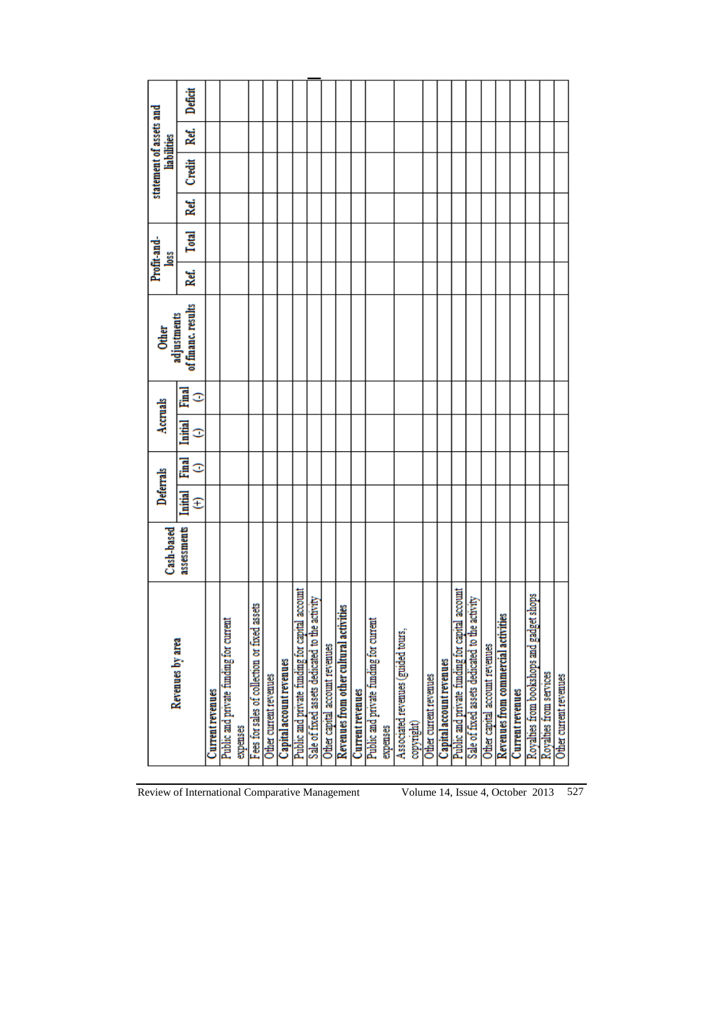|                                                   | Cash-based  | Deferrals           |        | Accruals            |        | adjustments<br><b>Other</b> |      | Profit-and-<br><b>Joss</b> |      | statement of assets and | <b>liabilities</b> |         |
|---------------------------------------------------|-------------|---------------------|--------|---------------------|--------|-----------------------------|------|----------------------------|------|-------------------------|--------------------|---------|
| Revenues by area                                  | assessments | <b>Initial</b><br>E | Ē<br>Ξ | <b>Initial</b><br>Ξ | Ē<br>○ | of financ. results          | Ref. | <b>Total</b>               | Ref. | Credit                  | Ref.               | Deficit |
| <b>Current revenues</b>                           |             |                     |        |                     |        |                             |      |                            |      |                         |                    |         |
| Public and private funding for current            |             |                     |        |                     |        |                             |      |                            |      |                         |                    |         |
| expenses                                          |             |                     |        |                     |        |                             |      |                            |      |                         |                    |         |
| Fees for sales of collection or fixed assets      |             |                     |        |                     |        |                             |      |                            |      |                         |                    |         |
| Other current revenues                            |             |                     |        |                     |        |                             |      |                            |      |                         |                    |         |
| Capital account revenues                          |             |                     |        |                     |        |                             |      |                            |      |                         |                    |         |
| account<br>Public and private funding for capital |             |                     |        |                     |        |                             |      |                            |      |                         |                    |         |
| Sale of fixed assets dedicated to the activity    |             |                     |        |                     |        |                             |      |                            |      |                         |                    |         |
| Other capital account revenues                    |             |                     |        |                     |        |                             |      |                            |      |                         |                    |         |
| Revenues from other cultural activities           |             |                     |        |                     |        |                             |      |                            |      |                         |                    |         |
| <b>Current revenues</b>                           |             |                     |        |                     |        |                             |      |                            |      |                         |                    |         |
| Public and private funding for current            |             |                     |        |                     |        |                             |      |                            |      |                         |                    |         |
| expenses                                          |             |                     |        |                     |        |                             |      |                            |      |                         |                    |         |
| Associated revenues (guided tours,<br>copyright)  |             |                     |        |                     |        |                             |      |                            |      |                         |                    |         |
| Other current revenues                            |             |                     |        |                     |        |                             |      |                            |      |                         |                    |         |
| Capital account revenues                          |             |                     |        |                     |        |                             |      |                            |      |                         |                    |         |
| account<br>Public and private funding for capital |             |                     |        |                     |        |                             |      |                            |      |                         |                    |         |
| Sale of fixed assets dedicated to the activity    |             |                     |        |                     |        |                             |      |                            |      |                         |                    |         |
| Other capital account revenues                    |             |                     |        |                     |        |                             |      |                            |      |                         |                    |         |
| Ł<br>Revenues from commercial activiti            |             |                     |        |                     |        |                             |      |                            |      |                         |                    |         |
| <b>Current revenues</b>                           |             |                     |        |                     |        |                             |      |                            |      |                         |                    |         |
| Royalties from bookshops and gadget shops         |             |                     |        |                     |        |                             |      |                            |      |                         |                    |         |
| Royalties from services                           |             |                     |        |                     |        |                             |      |                            |      |                         |                    |         |
| Other current revenues                            |             |                     |        |                     |        |                             |      |                            |      |                         |                    |         |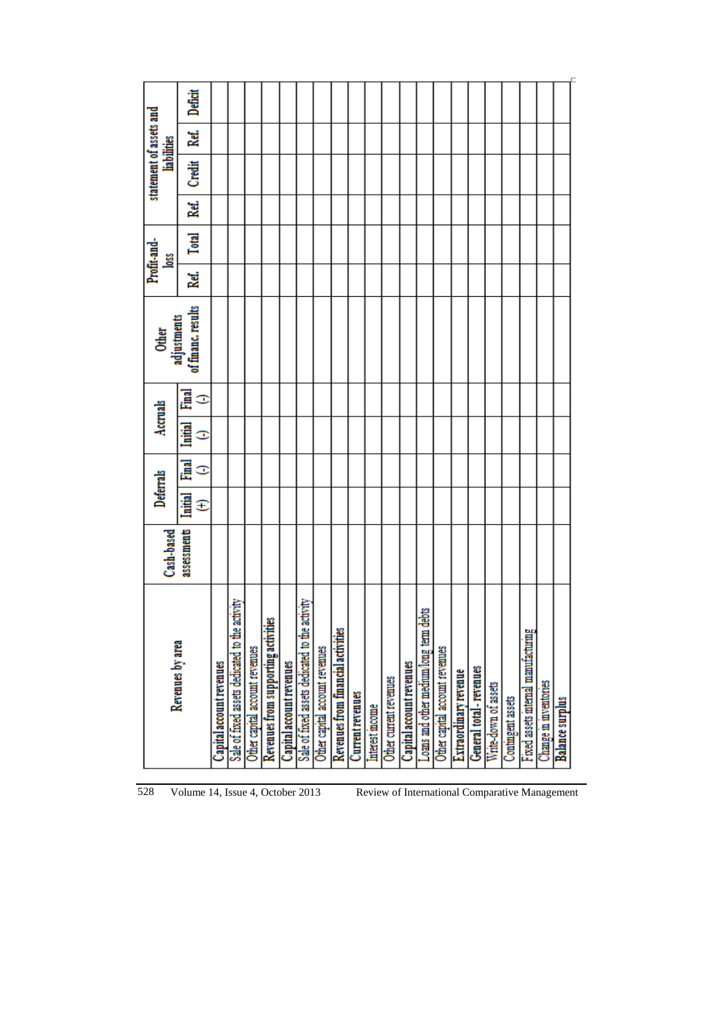|                                                | Cash-based  |                    | Deferrals         |                   | Accruals | Other<br>adjustments |     | Profit-and-<br>Ľ |     | statement of assets and | <b>liabilities</b> |         |
|------------------------------------------------|-------------|--------------------|-------------------|-------------------|----------|----------------------|-----|------------------|-----|-------------------------|--------------------|---------|
| Revenues by area                               | assessments | <b>Little</b><br>Ŧ | <b>Final</b><br>Ξ | <b>Exite</b><br>Ξ | ē<br>o   | of financ. results   | Rď. | <b>Total</b>     | kď. | Ğ                       | Ref.               | Deficit |
| Capital account revenues                       |             |                    |                   |                   |          |                      |     |                  |     |                         |                    |         |
| Sale of fixed assets dedicated to the activity |             |                    |                   |                   |          |                      |     |                  |     |                         |                    |         |
| Other capital account revenues                 |             |                    |                   |                   |          |                      |     |                  |     |                         |                    |         |
| Revenues from supporting activities            |             |                    |                   |                   |          |                      |     |                  |     |                         |                    |         |
| Capital account revenues                       |             |                    |                   |                   |          |                      |     |                  |     |                         |                    |         |
| Sale of fixed assets dedicated to the activity |             |                    |                   |                   |          |                      |     |                  |     |                         |                    |         |
| Other capital account revenues                 |             |                    |                   |                   |          |                      |     |                  |     |                         |                    |         |
| Revenues from financial activities             |             |                    |                   |                   |          |                      |     |                  |     |                         |                    |         |
| <b>Current revenues</b>                        |             |                    |                   |                   |          |                      |     |                  |     |                         |                    |         |
| Interest moome                                 |             |                    |                   |                   |          |                      |     |                  |     |                         |                    |         |
| Other current revenues                         |             |                    |                   |                   |          |                      |     |                  |     |                         |                    |         |
| Capital account revenues                       |             |                    |                   |                   |          |                      |     |                  |     |                         |                    |         |
| Loans and other medium/long term debts         |             |                    |                   |                   |          |                      |     |                  |     |                         |                    |         |
| Other capital account revenues                 |             |                    |                   |                   |          |                      |     |                  |     |                         |                    |         |
| <b>Extraordinary revenue</b>                   |             |                    |                   |                   |          |                      |     |                  |     |                         |                    |         |
| General total - revenues                       |             |                    |                   |                   |          |                      |     |                  |     |                         |                    |         |
| Write-down of assets                           |             |                    |                   |                   |          |                      |     |                  |     |                         |                    |         |
| Contingent assets                              |             |                    |                   |                   |          |                      |     |                  |     |                         |                    |         |
| Fixed assets internal manufacturing            |             |                    |                   |                   |          |                      |     |                  |     |                         |                    |         |
| Change in inventories                          |             |                    |                   |                   |          |                      |     |                  |     |                         |                    |         |
| Balance surplus                                |             |                    |                   |                   |          |                      |     |                  |     |                         |                    |         |
|                                                |             |                    |                   |                   |          |                      |     |                  |     |                         |                    |         |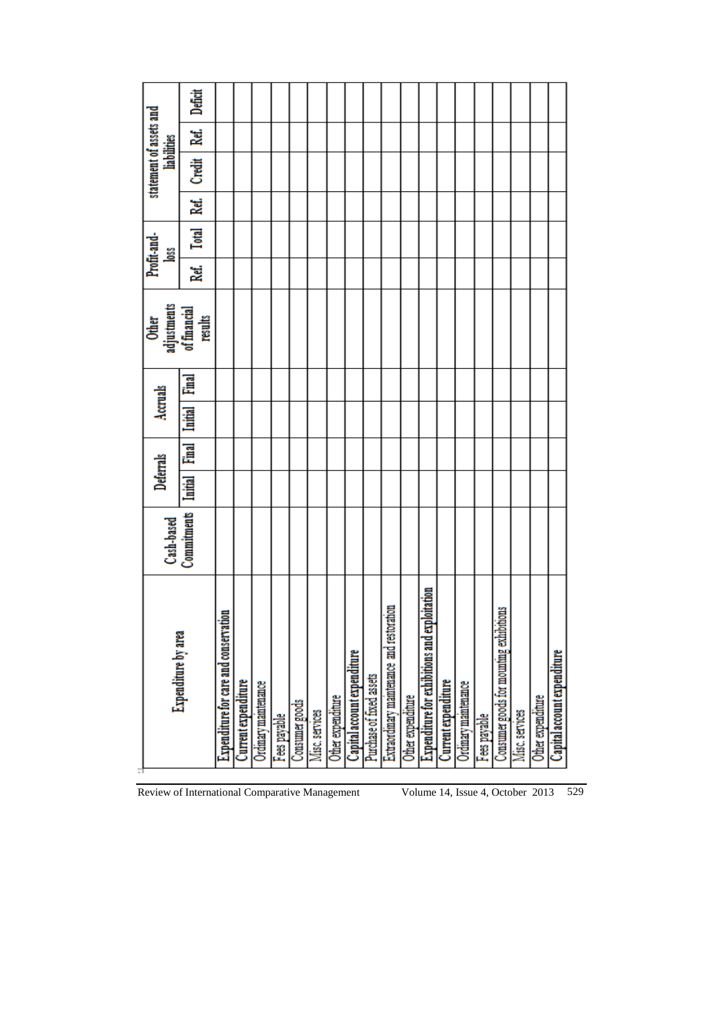| Expenditure by area                                     | Cash-based  | Deferrals      |       | Accruals       |              | Other<br>adjustments<br>of financial<br>results |    | Profit-and-<br>Ľ |      | statement of assets and<br><b>liabilities</b> |      |         |
|---------------------------------------------------------|-------------|----------------|-------|----------------|--------------|-------------------------------------------------|----|------------------|------|-----------------------------------------------|------|---------|
|                                                         | Commitments | <b>Initial</b> | Final | <b>Initial</b> | <b>Final</b> |                                                 | 2ď | <b>Total</b>     | Ref. | Credit                                        | Ref. | Deficit |
| 5<br>Expenditure for care and conserva                  |             |                |       |                |              |                                                 |    |                  |      |                                               |      |         |
| Current expenditure                                     |             |                |       |                |              |                                                 |    |                  |      |                                               |      |         |
| Ordinary maintenance                                    |             |                |       |                |              |                                                 |    |                  |      |                                               |      |         |
| Fees payable                                            |             |                |       |                |              |                                                 |    |                  |      |                                               |      |         |
| Consumer goods                                          |             |                |       |                |              |                                                 |    |                  |      |                                               |      |         |
| Misc. services                                          |             |                |       |                |              |                                                 |    |                  |      |                                               |      |         |
| Other expenditure                                       |             |                |       |                |              |                                                 |    |                  |      |                                               |      |         |
| Capital account expenditure                             |             |                |       |                |              |                                                 |    |                  |      |                                               |      |         |
| Purchase of fixed assets                                |             |                |       |                |              |                                                 |    |                  |      |                                               |      |         |
| ration<br>Extraordinary maintenance and restor          |             |                |       |                |              |                                                 |    |                  |      |                                               |      |         |
| Other expenditure                                       |             |                |       |                |              |                                                 |    |                  |      |                                               |      |         |
| ploitation<br><b>Expenditure for exhibitions and ex</b> |             |                |       |                |              |                                                 |    |                  |      |                                               |      |         |
| <b>Current</b> expenditure                              |             |                |       |                |              |                                                 |    |                  |      |                                               |      |         |
| Ordinary maintenance                                    |             |                |       |                |              |                                                 |    |                  |      |                                               |      |         |
| Fees payable                                            |             |                |       |                |              |                                                 |    |                  |      |                                               |      |         |
| thoms<br>Consumer goods for mounting exhibi             |             |                |       |                |              |                                                 |    |                  |      |                                               |      |         |
| Misc. services                                          |             |                |       |                |              |                                                 |    |                  |      |                                               |      |         |
| Other expenditure                                       |             |                |       |                |              |                                                 |    |                  |      |                                               |      |         |
| Capital account expenditure                             |             |                |       |                |              |                                                 |    |                  |      |                                               |      |         |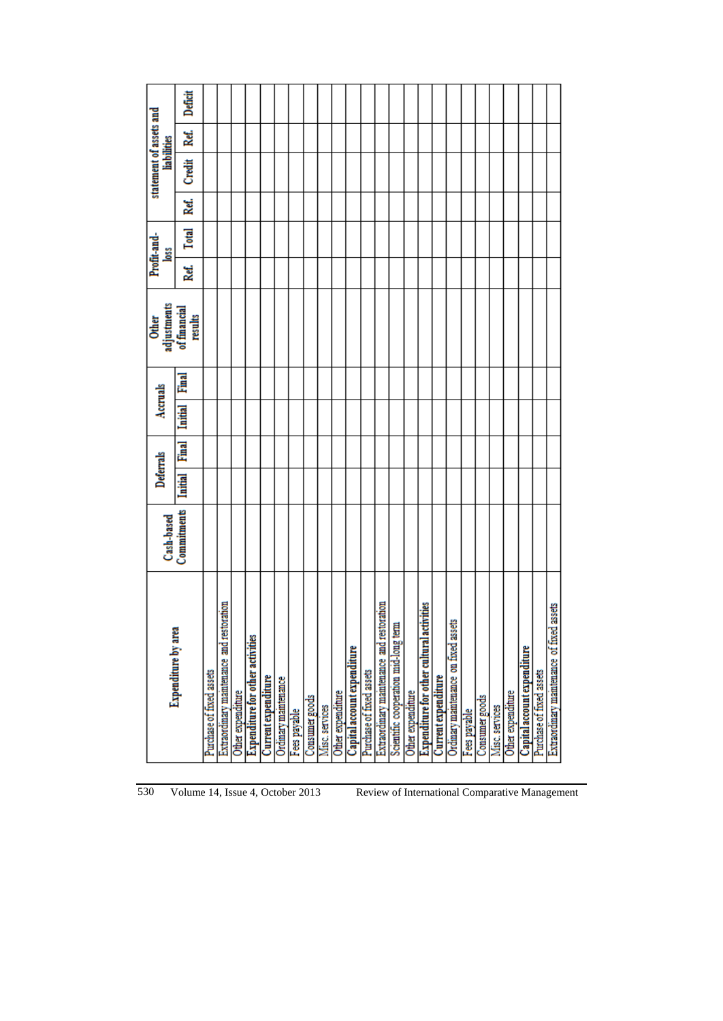|                                              | Cash-based  | Deferrals      |              | Accruals       |       | Other<br>adjustments    |      | Profit-and-<br><b>Joss</b> |      | statement of assets and<br>liabilities |      |         |
|----------------------------------------------|-------------|----------------|--------------|----------------|-------|-------------------------|------|----------------------------|------|----------------------------------------|------|---------|
| <b>Expenditure by area</b>                   | Commitments | <b>Initial</b> | <b>Final</b> | <b>Initial</b> | Final | of financial<br>results | Ref. | Total                      | Ref. | Čredit                                 | Ref. | Deficit |
| Purchase of fixed assets                     |             |                |              |                |       |                         |      |                            |      |                                        |      |         |
| Extraordinary maintenance and restoration    |             |                |              |                |       |                         |      |                            |      |                                        |      |         |
| Other expenditure                            |             |                |              |                |       |                         |      |                            |      |                                        |      |         |
| <b>Expenditure for other activities</b>      |             |                |              |                |       |                         |      |                            |      |                                        |      |         |
| <b>Current</b> expenditure                   |             |                |              |                |       |                         |      |                            |      |                                        |      |         |
| Ordinary maintenance                         |             |                |              |                |       |                         |      |                            |      |                                        |      |         |
| Fees payable                                 |             |                |              |                |       |                         |      |                            |      |                                        |      |         |
| Consumer goods                               |             |                |              |                |       |                         |      |                            |      |                                        |      |         |
| Misc. services                               |             |                |              |                |       |                         |      |                            |      |                                        |      |         |
| Other expenditure                            |             |                |              |                |       |                         |      |                            |      |                                        |      |         |
| Capital account expenditure                  |             |                |              |                |       |                         |      |                            |      |                                        |      |         |
| Purchase of fixed assets                     |             |                |              |                |       |                         |      |                            |      |                                        |      |         |
| Extraordinary maintenance and restoration    |             |                |              |                |       |                         |      |                            |      |                                        |      |         |
| Scientific cooperation mid-long term         |             |                |              |                |       |                         |      |                            |      |                                        |      |         |
| Other expenditure                            |             |                |              |                |       |                         |      |                            |      |                                        |      |         |
| Expenditure for other cultural activities    |             |                |              |                |       |                         |      |                            |      |                                        |      |         |
| <b>Current expenditure</b>                   |             |                |              |                |       |                         |      |                            |      |                                        |      |         |
| Ordinary maintenance on fixed assets         |             |                |              |                |       |                         |      |                            |      |                                        |      |         |
| Fees payable                                 |             |                |              |                |       |                         |      |                            |      |                                        |      |         |
| Consumer goods                               |             |                |              |                |       |                         |      |                            |      |                                        |      |         |
| Misc. services                               |             |                |              |                |       |                         |      |                            |      |                                        |      |         |
| Other expenditure                            |             |                |              |                |       |                         |      |                            |      |                                        |      |         |
| Capital account expenditure                  |             |                |              |                |       |                         |      |                            |      |                                        |      |         |
| Purchase of fixed assets                     |             |                |              |                |       |                         |      |                            |      |                                        |      |         |
| assets<br>Extraordinary maintenance of fixed |             |                |              |                |       |                         |      |                            |      |                                        |      |         |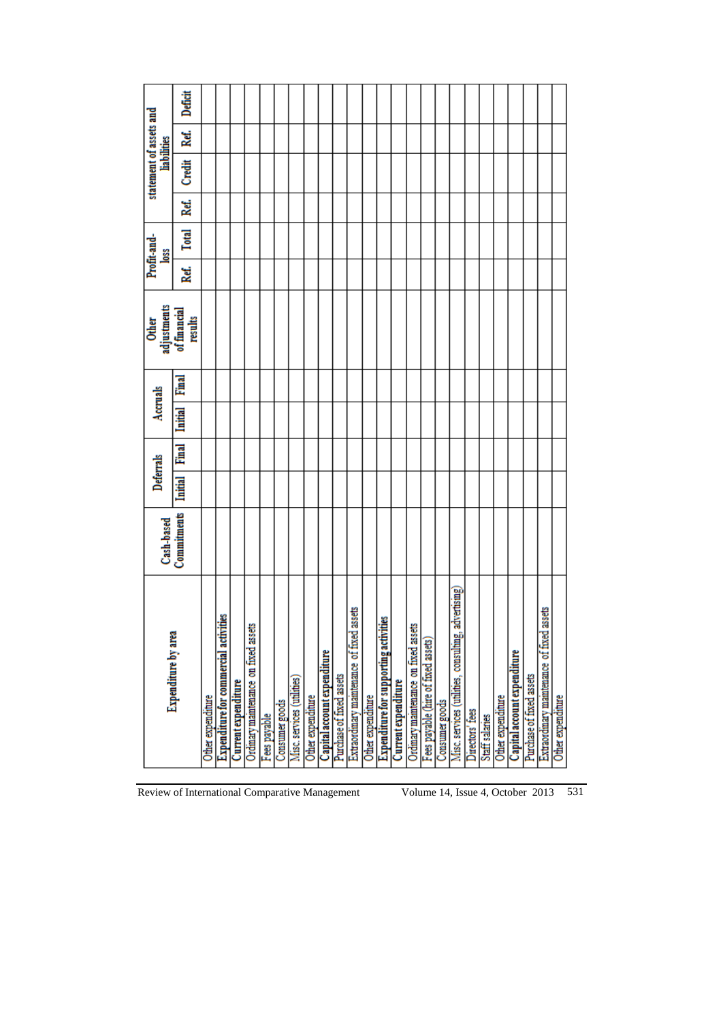|                                                        | Cash-based  | Deferrals      |       | Accruals       |   | adjustments<br><b>Other</b> |      | Profit-and-<br><b>Joss</b> |      | statement of assets and<br>liabilities |      |         |
|--------------------------------------------------------|-------------|----------------|-------|----------------|---|-----------------------------|------|----------------------------|------|----------------------------------------|------|---------|
| <b>Expenditure by area</b>                             | Commitments | <b>Initial</b> | Final | <b>Initial</b> | ē | of financial<br>results     | Ref. | Total                      | Ref. | Credit                                 | Ref. | Deficit |
| Other expenditure                                      |             |                |       |                |   |                             |      |                            |      |                                        |      |         |
| å<br><b>Expenditure for commercial activi</b>          |             |                |       |                |   |                             |      |                            |      |                                        |      |         |
| <b>Current</b> expenditure                             |             |                |       |                |   |                             |      |                            |      |                                        |      |         |
| Ordinary maintenance on fixed assets                   |             |                |       |                |   |                             |      |                            |      |                                        |      |         |
| Fees payable                                           |             |                |       |                |   |                             |      |                            |      |                                        |      |         |
| Consumer goods                                         |             |                |       |                |   |                             |      |                            |      |                                        |      |         |
| Misc. services (utilities)                             |             |                |       |                |   |                             |      |                            |      |                                        |      |         |
| Other expenditure                                      |             |                |       |                |   |                             |      |                            |      |                                        |      |         |
| Capital account expenditure                            |             |                |       |                |   |                             |      |                            |      |                                        |      |         |
| Purchase of fixed assets                               |             |                |       |                |   |                             |      |                            |      |                                        |      |         |
| assets<br>Extraordinary maintenance of fixed           |             |                |       |                |   |                             |      |                            |      |                                        |      |         |
| Other expenditure                                      |             |                |       |                |   |                             |      |                            |      |                                        |      |         |
| <b>Expenditure for supporting activities</b>           |             |                |       |                |   |                             |      |                            |      |                                        |      |         |
| <b>Current expenditure</b>                             |             |                |       |                |   |                             |      |                            |      |                                        |      |         |
| Ordinary maintenance on fixed assets                   |             |                |       |                |   |                             |      |                            |      |                                        |      |         |
| Fees payable (hire of fixed assets)                    |             |                |       |                |   |                             |      |                            |      |                                        |      |         |
| Consumer goods                                         |             |                |       |                |   |                             |      |                            |      |                                        |      |         |
| advertising)<br>Misc. services (utilities, consulting, |             |                |       |                |   |                             |      |                            |      |                                        |      |         |
| Directors' fees                                        |             |                |       |                |   |                             |      |                            |      |                                        |      |         |
| Staff salaries                                         |             |                |       |                |   |                             |      |                            |      |                                        |      |         |
| Other expenditure                                      |             |                |       |                |   |                             |      |                            |      |                                        |      |         |
| Capital account expenditure                            |             |                |       |                |   |                             |      |                            |      |                                        |      |         |
| Purchase of fixed assets                               |             |                |       |                |   |                             |      |                            |      |                                        |      |         |
| assets<br>Extraordinary maintenance of fixed           |             |                |       |                |   |                             |      |                            |      |                                        |      |         |
| Other expenditure                                      |             |                |       |                |   |                             |      |                            |      |                                        |      |         |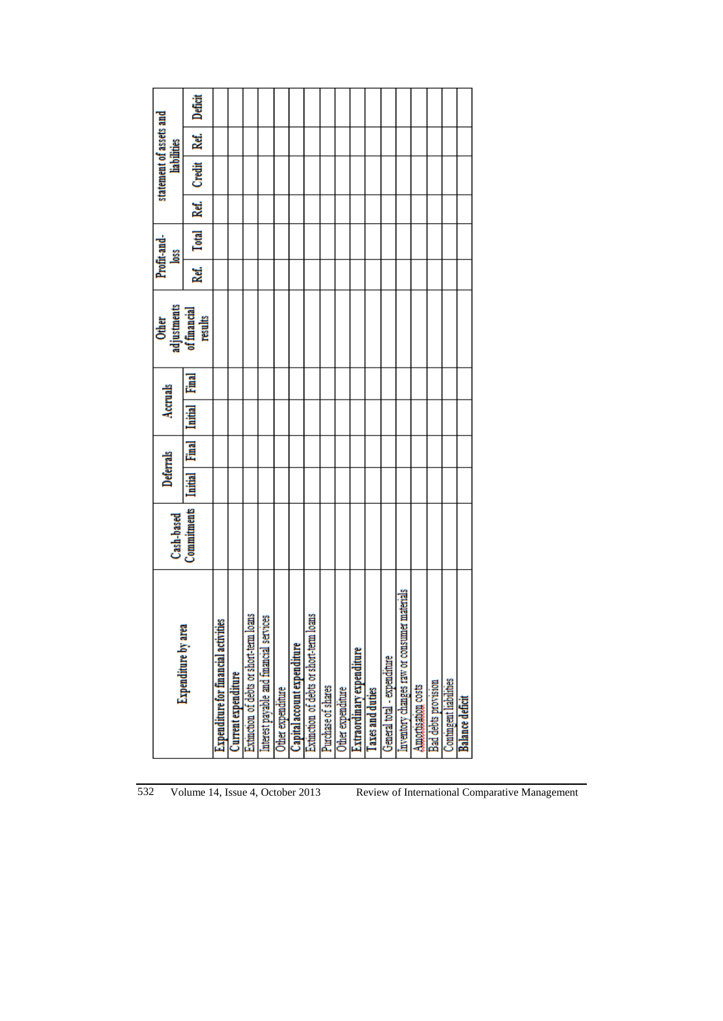| <b>Expenditure by area</b>                         | Cash-based  | Deferrals      |       | Accruals       |       | adjustments<br>of financial<br><b>Other</b> |      | Profit-and-<br><u>loss</u> |      | statement of assets and<br><b>liabilities</b> |      |         |
|----------------------------------------------------|-------------|----------------|-------|----------------|-------|---------------------------------------------|------|----------------------------|------|-----------------------------------------------|------|---------|
|                                                    | Commitments | <b>Luitial</b> | Final | <b>Luitial</b> | Final | results                                     | Ref. | <b>Total</b>               | Ref. | Credit                                        | Ref. | Deficit |
| <b>Expenditure for financial activities</b>        |             |                |       |                |       |                                             |      |                            |      |                                               |      |         |
| <b>Current expenditure</b>                         |             |                |       |                |       |                                             |      |                            |      |                                               |      |         |
| <b>Surc</b><br>Extinction of debts or short-term l |             |                |       |                |       |                                             |      |                            |      |                                               |      |         |
| Interest payable and financial services            |             |                |       |                |       |                                             |      |                            |      |                                               |      |         |
| Other expenditure                                  |             |                |       |                |       |                                             |      |                            |      |                                               |      |         |
| Capital account expenditure                        |             |                |       |                |       |                                             |      |                            |      |                                               |      |         |
| <b>Surc</b><br>Extinction of debts or short-term   |             |                |       |                |       |                                             |      |                            |      |                                               |      |         |
| Purchase of shares                                 |             |                |       |                |       |                                             |      |                            |      |                                               |      |         |
| Other expenditure                                  |             |                |       |                |       |                                             |      |                            |      |                                               |      |         |
| Extraordinary expenditure                          |             |                |       |                |       |                                             |      |                            |      |                                               |      |         |
| <b>Taxes</b> and duties                            |             |                |       |                |       |                                             |      |                            |      |                                               |      |         |
| General total - expenditure                        |             |                |       |                |       |                                             |      |                            |      |                                               |      |         |
| er materials<br>Inventory changes raw or consum    |             |                |       |                |       |                                             |      |                            |      |                                               |      |         |
| Amortuation costs                                  |             |                |       |                |       |                                             |      |                            |      |                                               |      |         |
| Bad debts provision                                |             |                |       |                |       |                                             |      |                            |      |                                               |      |         |
| <b>Contingent liabilities</b>                      |             |                |       |                |       |                                             |      |                            |      |                                               |      |         |
| <b>Balance deficit</b>                             |             |                |       |                |       |                                             |      |                            |      |                                               |      |         |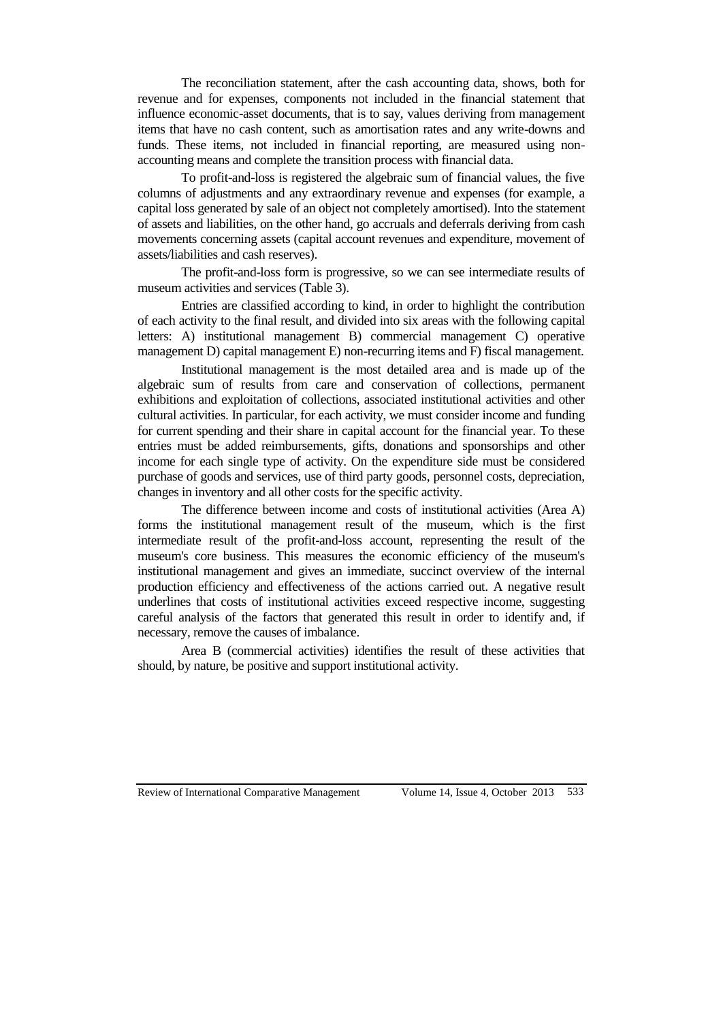The reconciliation statement, after the cash accounting data, shows, both for revenue and for expenses, components not included in the financial statement that influence economic-asset documents, that is to say, values deriving from management items that have no cash content, such as amortisation rates and any write-downs and funds. These items, not included in financial reporting, are measured using nonaccounting means and complete the transition process with financial data.

To profit-and-loss is registered the algebraic sum of financial values, the five columns of adjustments and any extraordinary revenue and expenses (for example, a capital loss generated by sale of an object not completely amortised). Into the statement of assets and liabilities, on the other hand, go accruals and deferrals deriving from cash movements concerning assets (capital account revenues and expenditure, movement of assets/liabilities and cash reserves).

The profit-and-loss form is progressive, so we can see intermediate results of museum activities and services (Table 3).

Entries are classified according to kind, in order to highlight the contribution of each activity to the final result, and divided into six areas with the following capital letters: A) institutional management B) commercial management C) operative management D) capital management E) non-recurring items and F) fiscal management.

Institutional management is the most detailed area and is made up of the algebraic sum of results from care and conservation of collections, permanent exhibitions and exploitation of collections, associated institutional activities and other cultural activities. In particular, for each activity, we must consider income and funding for current spending and their share in capital account for the financial year. To these entries must be added reimbursements, gifts, donations and sponsorships and other income for each single type of activity. On the expenditure side must be considered purchase of goods and services, use of third party goods, personnel costs, depreciation, changes in inventory and all other costs for the specific activity.

The difference between income and costs of institutional activities (Area A) forms the institutional management result of the museum, which is the first intermediate result of the profit-and-loss account, representing the result of the museum's core business. This measures the economic efficiency of the museum's institutional management and gives an immediate, succinct overview of the internal production efficiency and effectiveness of the actions carried out. A negative result underlines that costs of institutional activities exceed respective income, suggesting careful analysis of the factors that generated this result in order to identify and, if necessary, remove the causes of imbalance.

Area B (commercial activities) identifies the result of these activities that should, by nature, be positive and support institutional activity.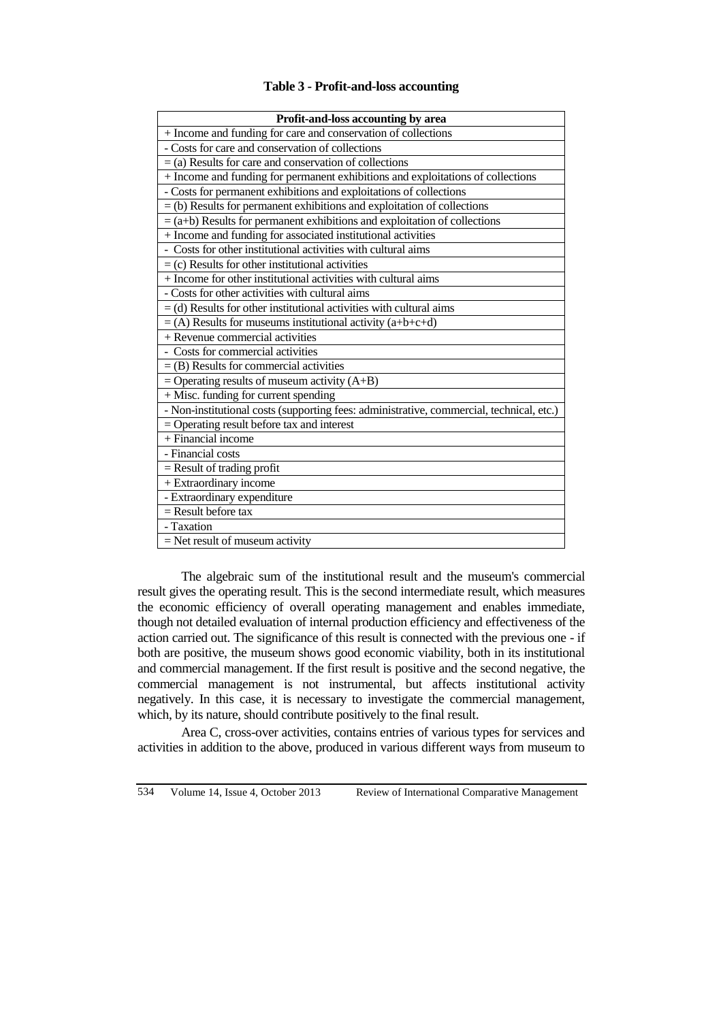# **Table 3 - Profit-and-loss accounting**

| + Income and funding for care and conservation of collections<br>- Costs for care and conservation of collections<br>$=$ (a) Results for care and conservation of collections<br>+ Income and funding for permanent exhibitions and exploitations of collections<br>- Costs for permanent exhibitions and exploitations of collections<br>$=$ (b) Results for permanent exhibitions and exploitation of collections<br>$=$ (a+b) Results for permanent exhibitions and exploitation of collections<br>+ Income and funding for associated institutional activities<br>- Costs for other institutional activities with cultural aims<br>$=$ (c) Results for other institutional activities<br>+ Income for other institutional activities with cultural aims<br>- Costs for other activities with cultural aims<br>$=$ (d) Results for other institutional activities with cultural aims<br>$=$ (A) Results for museums institutional activity (a+b+c+d)<br>+ Revenue commercial activities<br>- Costs for commercial activities<br>$=$ (B) Results for commercial activities<br>$=$ Operating results of museum activity (A+B)<br>+ Misc. funding for current spending<br>- Non-institutional costs (supporting fees: administrative, commercial, technical, etc.)<br>$=$ Operating result before tax and interest<br>+ Financial income<br>- Financial costs<br>$=$ Result of trading profit<br>+ Extraordinary income<br>- Extraordinary expenditure<br>$\overline{R}$ = Result before tax<br>- Taxation |                                    |
|------------------------------------------------------------------------------------------------------------------------------------------------------------------------------------------------------------------------------------------------------------------------------------------------------------------------------------------------------------------------------------------------------------------------------------------------------------------------------------------------------------------------------------------------------------------------------------------------------------------------------------------------------------------------------------------------------------------------------------------------------------------------------------------------------------------------------------------------------------------------------------------------------------------------------------------------------------------------------------------------------------------------------------------------------------------------------------------------------------------------------------------------------------------------------------------------------------------------------------------------------------------------------------------------------------------------------------------------------------------------------------------------------------------------------------------------------------------------------------------------------------|------------------------------------|
|                                                                                                                                                                                                                                                                                                                                                                                                                                                                                                                                                                                                                                                                                                                                                                                                                                                                                                                                                                                                                                                                                                                                                                                                                                                                                                                                                                                                                                                                                                            | Profit-and-loss accounting by area |
|                                                                                                                                                                                                                                                                                                                                                                                                                                                                                                                                                                                                                                                                                                                                                                                                                                                                                                                                                                                                                                                                                                                                                                                                                                                                                                                                                                                                                                                                                                            |                                    |
|                                                                                                                                                                                                                                                                                                                                                                                                                                                                                                                                                                                                                                                                                                                                                                                                                                                                                                                                                                                                                                                                                                                                                                                                                                                                                                                                                                                                                                                                                                            |                                    |
|                                                                                                                                                                                                                                                                                                                                                                                                                                                                                                                                                                                                                                                                                                                                                                                                                                                                                                                                                                                                                                                                                                                                                                                                                                                                                                                                                                                                                                                                                                            |                                    |
|                                                                                                                                                                                                                                                                                                                                                                                                                                                                                                                                                                                                                                                                                                                                                                                                                                                                                                                                                                                                                                                                                                                                                                                                                                                                                                                                                                                                                                                                                                            |                                    |
|                                                                                                                                                                                                                                                                                                                                                                                                                                                                                                                                                                                                                                                                                                                                                                                                                                                                                                                                                                                                                                                                                                                                                                                                                                                                                                                                                                                                                                                                                                            |                                    |
|                                                                                                                                                                                                                                                                                                                                                                                                                                                                                                                                                                                                                                                                                                                                                                                                                                                                                                                                                                                                                                                                                                                                                                                                                                                                                                                                                                                                                                                                                                            |                                    |
|                                                                                                                                                                                                                                                                                                                                                                                                                                                                                                                                                                                                                                                                                                                                                                                                                                                                                                                                                                                                                                                                                                                                                                                                                                                                                                                                                                                                                                                                                                            |                                    |
|                                                                                                                                                                                                                                                                                                                                                                                                                                                                                                                                                                                                                                                                                                                                                                                                                                                                                                                                                                                                                                                                                                                                                                                                                                                                                                                                                                                                                                                                                                            |                                    |
|                                                                                                                                                                                                                                                                                                                                                                                                                                                                                                                                                                                                                                                                                                                                                                                                                                                                                                                                                                                                                                                                                                                                                                                                                                                                                                                                                                                                                                                                                                            |                                    |
|                                                                                                                                                                                                                                                                                                                                                                                                                                                                                                                                                                                                                                                                                                                                                                                                                                                                                                                                                                                                                                                                                                                                                                                                                                                                                                                                                                                                                                                                                                            |                                    |
|                                                                                                                                                                                                                                                                                                                                                                                                                                                                                                                                                                                                                                                                                                                                                                                                                                                                                                                                                                                                                                                                                                                                                                                                                                                                                                                                                                                                                                                                                                            |                                    |
|                                                                                                                                                                                                                                                                                                                                                                                                                                                                                                                                                                                                                                                                                                                                                                                                                                                                                                                                                                                                                                                                                                                                                                                                                                                                                                                                                                                                                                                                                                            |                                    |
|                                                                                                                                                                                                                                                                                                                                                                                                                                                                                                                                                                                                                                                                                                                                                                                                                                                                                                                                                                                                                                                                                                                                                                                                                                                                                                                                                                                                                                                                                                            |                                    |
|                                                                                                                                                                                                                                                                                                                                                                                                                                                                                                                                                                                                                                                                                                                                                                                                                                                                                                                                                                                                                                                                                                                                                                                                                                                                                                                                                                                                                                                                                                            |                                    |
|                                                                                                                                                                                                                                                                                                                                                                                                                                                                                                                                                                                                                                                                                                                                                                                                                                                                                                                                                                                                                                                                                                                                                                                                                                                                                                                                                                                                                                                                                                            |                                    |
|                                                                                                                                                                                                                                                                                                                                                                                                                                                                                                                                                                                                                                                                                                                                                                                                                                                                                                                                                                                                                                                                                                                                                                                                                                                                                                                                                                                                                                                                                                            |                                    |
|                                                                                                                                                                                                                                                                                                                                                                                                                                                                                                                                                                                                                                                                                                                                                                                                                                                                                                                                                                                                                                                                                                                                                                                                                                                                                                                                                                                                                                                                                                            |                                    |
|                                                                                                                                                                                                                                                                                                                                                                                                                                                                                                                                                                                                                                                                                                                                                                                                                                                                                                                                                                                                                                                                                                                                                                                                                                                                                                                                                                                                                                                                                                            |                                    |
|                                                                                                                                                                                                                                                                                                                                                                                                                                                                                                                                                                                                                                                                                                                                                                                                                                                                                                                                                                                                                                                                                                                                                                                                                                                                                                                                                                                                                                                                                                            |                                    |
|                                                                                                                                                                                                                                                                                                                                                                                                                                                                                                                                                                                                                                                                                                                                                                                                                                                                                                                                                                                                                                                                                                                                                                                                                                                                                                                                                                                                                                                                                                            |                                    |
|                                                                                                                                                                                                                                                                                                                                                                                                                                                                                                                                                                                                                                                                                                                                                                                                                                                                                                                                                                                                                                                                                                                                                                                                                                                                                                                                                                                                                                                                                                            |                                    |
|                                                                                                                                                                                                                                                                                                                                                                                                                                                                                                                                                                                                                                                                                                                                                                                                                                                                                                                                                                                                                                                                                                                                                                                                                                                                                                                                                                                                                                                                                                            |                                    |
|                                                                                                                                                                                                                                                                                                                                                                                                                                                                                                                                                                                                                                                                                                                                                                                                                                                                                                                                                                                                                                                                                                                                                                                                                                                                                                                                                                                                                                                                                                            |                                    |
|                                                                                                                                                                                                                                                                                                                                                                                                                                                                                                                                                                                                                                                                                                                                                                                                                                                                                                                                                                                                                                                                                                                                                                                                                                                                                                                                                                                                                                                                                                            |                                    |
|                                                                                                                                                                                                                                                                                                                                                                                                                                                                                                                                                                                                                                                                                                                                                                                                                                                                                                                                                                                                                                                                                                                                                                                                                                                                                                                                                                                                                                                                                                            |                                    |
|                                                                                                                                                                                                                                                                                                                                                                                                                                                                                                                                                                                                                                                                                                                                                                                                                                                                                                                                                                                                                                                                                                                                                                                                                                                                                                                                                                                                                                                                                                            |                                    |
|                                                                                                                                                                                                                                                                                                                                                                                                                                                                                                                                                                                                                                                                                                                                                                                                                                                                                                                                                                                                                                                                                                                                                                                                                                                                                                                                                                                                                                                                                                            |                                    |
|                                                                                                                                                                                                                                                                                                                                                                                                                                                                                                                                                                                                                                                                                                                                                                                                                                                                                                                                                                                                                                                                                                                                                                                                                                                                                                                                                                                                                                                                                                            |                                    |
|                                                                                                                                                                                                                                                                                                                                                                                                                                                                                                                                                                                                                                                                                                                                                                                                                                                                                                                                                                                                                                                                                                                                                                                                                                                                                                                                                                                                                                                                                                            | $=$ Net result of museum activity  |

The algebraic sum of the institutional result and the museum's commercial result gives the operating result. This is the second intermediate result, which measures the economic efficiency of overall operating management and enables immediate, though not detailed evaluation of internal production efficiency and effectiveness of the action carried out. The significance of this result is connected with the previous one - if both are positive, the museum shows good economic viability, both in its institutional and commercial management. If the first result is positive and the second negative, the commercial management is not instrumental, but affects institutional activity negatively. In this case, it is necessary to investigate the commercial management, which, by its nature, should contribute positively to the final result.

Area C, cross-over activities, contains entries of various types for services and activities in addition to the above, produced in various different ways from museum to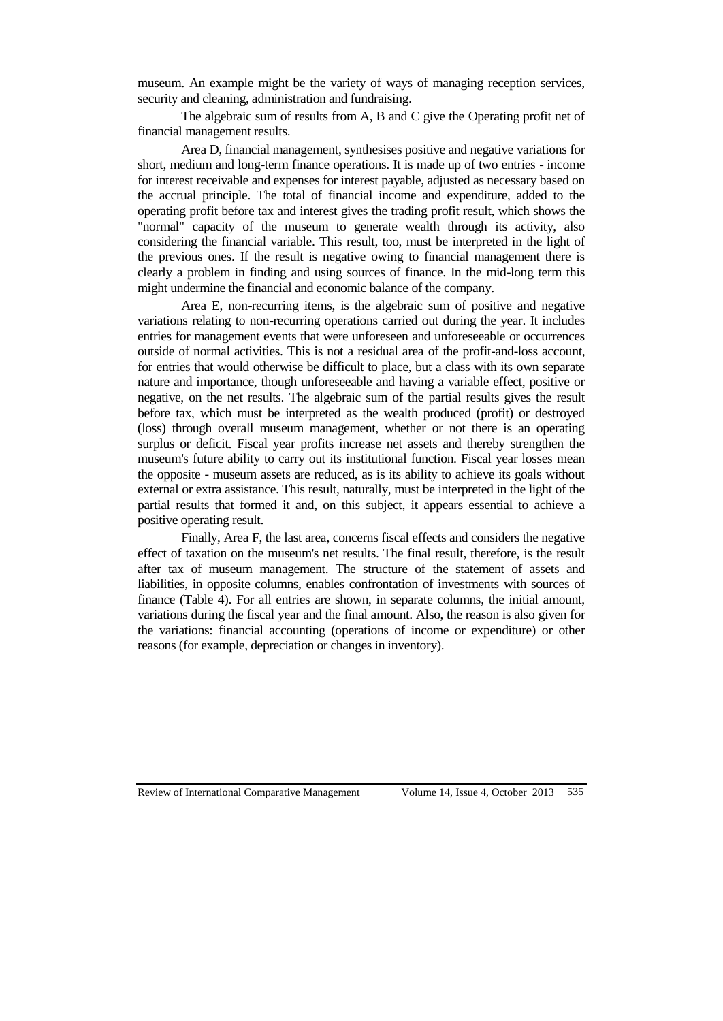museum. An example might be the variety of ways of managing reception services, security and cleaning, administration and fundraising.

The algebraic sum of results from A, B and C give the Operating profit net of financial management results.

Area D, financial management, synthesises positive and negative variations for short, medium and long-term finance operations. It is made up of two entries - income for interest receivable and expenses for interest payable, adjusted as necessary based on the accrual principle. The total of financial income and expenditure, added to the operating profit before tax and interest gives the trading profit result, which shows the "normal" capacity of the museum to generate wealth through its activity, also considering the financial variable. This result, too, must be interpreted in the light of the previous ones. If the result is negative owing to financial management there is clearly a problem in finding and using sources of finance. In the mid-long term this might undermine the financial and economic balance of the company.

Area E, non-recurring items, is the algebraic sum of positive and negative variations relating to non-recurring operations carried out during the year. It includes entries for management events that were unforeseen and unforeseeable or occurrences outside of normal activities. This is not a residual area of the profit-and-loss account, for entries that would otherwise be difficult to place, but a class with its own separate nature and importance, though unforeseeable and having a variable effect, positive or negative, on the net results. The algebraic sum of the partial results gives the result before tax, which must be interpreted as the wealth produced (profit) or destroyed (loss) through overall museum management, whether or not there is an operating surplus or deficit. Fiscal year profits increase net assets and thereby strengthen the museum's future ability to carry out its institutional function. Fiscal year losses mean the opposite - museum assets are reduced, as is its ability to achieve its goals without external or extra assistance. This result, naturally, must be interpreted in the light of the partial results that formed it and, on this subject, it appears essential to achieve a positive operating result.

Finally, Area F, the last area, concerns fiscal effects and considers the negative effect of taxation on the museum's net results. The final result, therefore, is the result after tax of museum management. The structure of the statement of assets and liabilities, in opposite columns, enables confrontation of investments with sources of finance (Table 4). For all entries are shown, in separate columns, the initial amount, variations during the fiscal year and the final amount. Also, the reason is also given for the variations: financial accounting (operations of income or expenditure) or other reasons (for example, depreciation or changes in inventory).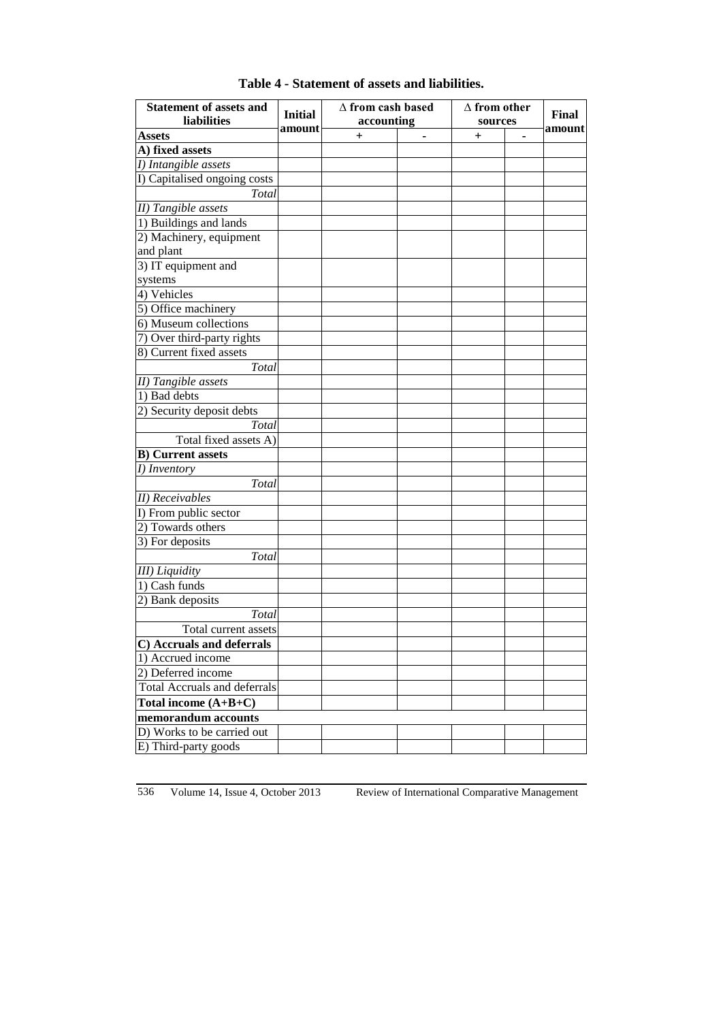| <b>Assets</b><br>$\ddag$<br>$\mathrm{+}$<br>A) fixed assets<br>I) Intangible assets<br>I) Capitalised ongoing costs<br>Total<br>II) Tangible assets<br>1) Buildings and lands<br>2) Machinery, equipment<br>and plant<br>3) IT equipment and<br>systems<br>4) Vehicles<br>5) Office machinery<br>6) Museum collections<br>7) Over third-party rights<br>8) Current fixed assets<br>Total<br>II) Tangible assets<br>1) Bad debts<br>2) Security deposit debts<br>Total<br>Total fixed assets A)<br><b>B)</b> Current assets<br>I) Inventory<br>Total<br><b>II</b> ) Receivables<br>I) From public sector<br>2) Towards others<br>3) For deposits<br>Total<br><b>III</b> ) Liquidity<br>1) Cash funds<br>2) Bank deposits<br>Total<br>Total current assets<br>C) Accruals and deferrals<br>1) Accrued income<br>2) Deferred income<br><b>Total Accruals and deferrals</b><br>Total income $(A+B+C)$<br>memorandum accounts<br>D) Works to be carried out<br>E) Third-party goods | <b>Statement of assets and</b><br>liabilities | <b>Initial</b> | $\Delta$ from cash based<br>accounting | $\Delta$ from other<br>sources | Final  |
|--------------------------------------------------------------------------------------------------------------------------------------------------------------------------------------------------------------------------------------------------------------------------------------------------------------------------------------------------------------------------------------------------------------------------------------------------------------------------------------------------------------------------------------------------------------------------------------------------------------------------------------------------------------------------------------------------------------------------------------------------------------------------------------------------------------------------------------------------------------------------------------------------------------------------------------------------------------------------------|-----------------------------------------------|----------------|----------------------------------------|--------------------------------|--------|
|                                                                                                                                                                                                                                                                                                                                                                                                                                                                                                                                                                                                                                                                                                                                                                                                                                                                                                                                                                                |                                               | amount         |                                        |                                | amount |
|                                                                                                                                                                                                                                                                                                                                                                                                                                                                                                                                                                                                                                                                                                                                                                                                                                                                                                                                                                                |                                               |                |                                        |                                |        |
|                                                                                                                                                                                                                                                                                                                                                                                                                                                                                                                                                                                                                                                                                                                                                                                                                                                                                                                                                                                |                                               |                |                                        |                                |        |
|                                                                                                                                                                                                                                                                                                                                                                                                                                                                                                                                                                                                                                                                                                                                                                                                                                                                                                                                                                                |                                               |                |                                        |                                |        |
|                                                                                                                                                                                                                                                                                                                                                                                                                                                                                                                                                                                                                                                                                                                                                                                                                                                                                                                                                                                |                                               |                |                                        |                                |        |
|                                                                                                                                                                                                                                                                                                                                                                                                                                                                                                                                                                                                                                                                                                                                                                                                                                                                                                                                                                                |                                               |                |                                        |                                |        |
|                                                                                                                                                                                                                                                                                                                                                                                                                                                                                                                                                                                                                                                                                                                                                                                                                                                                                                                                                                                |                                               |                |                                        |                                |        |
|                                                                                                                                                                                                                                                                                                                                                                                                                                                                                                                                                                                                                                                                                                                                                                                                                                                                                                                                                                                |                                               |                |                                        |                                |        |
|                                                                                                                                                                                                                                                                                                                                                                                                                                                                                                                                                                                                                                                                                                                                                                                                                                                                                                                                                                                |                                               |                |                                        |                                |        |
|                                                                                                                                                                                                                                                                                                                                                                                                                                                                                                                                                                                                                                                                                                                                                                                                                                                                                                                                                                                |                                               |                |                                        |                                |        |
|                                                                                                                                                                                                                                                                                                                                                                                                                                                                                                                                                                                                                                                                                                                                                                                                                                                                                                                                                                                |                                               |                |                                        |                                |        |
|                                                                                                                                                                                                                                                                                                                                                                                                                                                                                                                                                                                                                                                                                                                                                                                                                                                                                                                                                                                |                                               |                |                                        |                                |        |
|                                                                                                                                                                                                                                                                                                                                                                                                                                                                                                                                                                                                                                                                                                                                                                                                                                                                                                                                                                                |                                               |                |                                        |                                |        |
|                                                                                                                                                                                                                                                                                                                                                                                                                                                                                                                                                                                                                                                                                                                                                                                                                                                                                                                                                                                |                                               |                |                                        |                                |        |
|                                                                                                                                                                                                                                                                                                                                                                                                                                                                                                                                                                                                                                                                                                                                                                                                                                                                                                                                                                                |                                               |                |                                        |                                |        |
|                                                                                                                                                                                                                                                                                                                                                                                                                                                                                                                                                                                                                                                                                                                                                                                                                                                                                                                                                                                |                                               |                |                                        |                                |        |
|                                                                                                                                                                                                                                                                                                                                                                                                                                                                                                                                                                                                                                                                                                                                                                                                                                                                                                                                                                                |                                               |                |                                        |                                |        |
|                                                                                                                                                                                                                                                                                                                                                                                                                                                                                                                                                                                                                                                                                                                                                                                                                                                                                                                                                                                |                                               |                |                                        |                                |        |
|                                                                                                                                                                                                                                                                                                                                                                                                                                                                                                                                                                                                                                                                                                                                                                                                                                                                                                                                                                                |                                               |                |                                        |                                |        |
|                                                                                                                                                                                                                                                                                                                                                                                                                                                                                                                                                                                                                                                                                                                                                                                                                                                                                                                                                                                |                                               |                |                                        |                                |        |
|                                                                                                                                                                                                                                                                                                                                                                                                                                                                                                                                                                                                                                                                                                                                                                                                                                                                                                                                                                                |                                               |                |                                        |                                |        |
|                                                                                                                                                                                                                                                                                                                                                                                                                                                                                                                                                                                                                                                                                                                                                                                                                                                                                                                                                                                |                                               |                |                                        |                                |        |
|                                                                                                                                                                                                                                                                                                                                                                                                                                                                                                                                                                                                                                                                                                                                                                                                                                                                                                                                                                                |                                               |                |                                        |                                |        |
|                                                                                                                                                                                                                                                                                                                                                                                                                                                                                                                                                                                                                                                                                                                                                                                                                                                                                                                                                                                |                                               |                |                                        |                                |        |
|                                                                                                                                                                                                                                                                                                                                                                                                                                                                                                                                                                                                                                                                                                                                                                                                                                                                                                                                                                                |                                               |                |                                        |                                |        |
|                                                                                                                                                                                                                                                                                                                                                                                                                                                                                                                                                                                                                                                                                                                                                                                                                                                                                                                                                                                |                                               |                |                                        |                                |        |
|                                                                                                                                                                                                                                                                                                                                                                                                                                                                                                                                                                                                                                                                                                                                                                                                                                                                                                                                                                                |                                               |                |                                        |                                |        |
|                                                                                                                                                                                                                                                                                                                                                                                                                                                                                                                                                                                                                                                                                                                                                                                                                                                                                                                                                                                |                                               |                |                                        |                                |        |
|                                                                                                                                                                                                                                                                                                                                                                                                                                                                                                                                                                                                                                                                                                                                                                                                                                                                                                                                                                                |                                               |                |                                        |                                |        |
|                                                                                                                                                                                                                                                                                                                                                                                                                                                                                                                                                                                                                                                                                                                                                                                                                                                                                                                                                                                |                                               |                |                                        |                                |        |
|                                                                                                                                                                                                                                                                                                                                                                                                                                                                                                                                                                                                                                                                                                                                                                                                                                                                                                                                                                                |                                               |                |                                        |                                |        |
|                                                                                                                                                                                                                                                                                                                                                                                                                                                                                                                                                                                                                                                                                                                                                                                                                                                                                                                                                                                |                                               |                |                                        |                                |        |
|                                                                                                                                                                                                                                                                                                                                                                                                                                                                                                                                                                                                                                                                                                                                                                                                                                                                                                                                                                                |                                               |                |                                        |                                |        |
|                                                                                                                                                                                                                                                                                                                                                                                                                                                                                                                                                                                                                                                                                                                                                                                                                                                                                                                                                                                |                                               |                |                                        |                                |        |
|                                                                                                                                                                                                                                                                                                                                                                                                                                                                                                                                                                                                                                                                                                                                                                                                                                                                                                                                                                                |                                               |                |                                        |                                |        |
|                                                                                                                                                                                                                                                                                                                                                                                                                                                                                                                                                                                                                                                                                                                                                                                                                                                                                                                                                                                |                                               |                |                                        |                                |        |
|                                                                                                                                                                                                                                                                                                                                                                                                                                                                                                                                                                                                                                                                                                                                                                                                                                                                                                                                                                                |                                               |                |                                        |                                |        |
|                                                                                                                                                                                                                                                                                                                                                                                                                                                                                                                                                                                                                                                                                                                                                                                                                                                                                                                                                                                |                                               |                |                                        |                                |        |
|                                                                                                                                                                                                                                                                                                                                                                                                                                                                                                                                                                                                                                                                                                                                                                                                                                                                                                                                                                                |                                               |                |                                        |                                |        |
|                                                                                                                                                                                                                                                                                                                                                                                                                                                                                                                                                                                                                                                                                                                                                                                                                                                                                                                                                                                |                                               |                |                                        |                                |        |
|                                                                                                                                                                                                                                                                                                                                                                                                                                                                                                                                                                                                                                                                                                                                                                                                                                                                                                                                                                                |                                               |                |                                        |                                |        |
|                                                                                                                                                                                                                                                                                                                                                                                                                                                                                                                                                                                                                                                                                                                                                                                                                                                                                                                                                                                |                                               |                |                                        |                                |        |
|                                                                                                                                                                                                                                                                                                                                                                                                                                                                                                                                                                                                                                                                                                                                                                                                                                                                                                                                                                                |                                               |                |                                        |                                |        |

# **Table 4 - Statement of assets and liabilities.**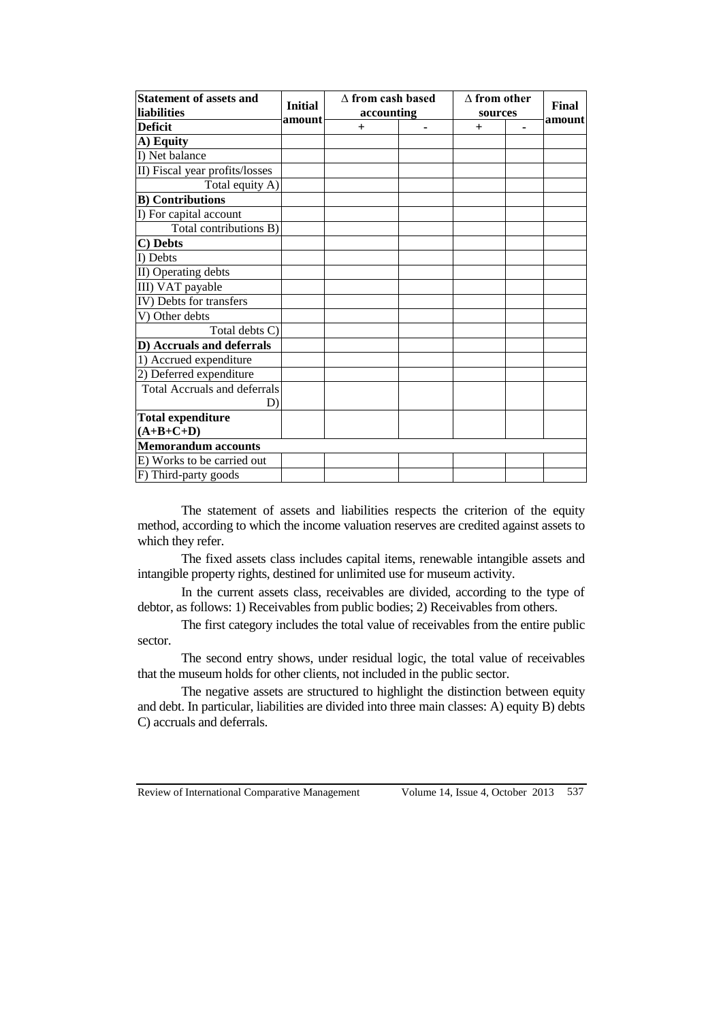| <b>Statement of assets and</b><br>liabilities | <b>Initial</b> | $\wedge$ from cash based<br>accounting | $\Delta$ from other<br>sources | Final  |
|-----------------------------------------------|----------------|----------------------------------------|--------------------------------|--------|
| <b>Deficit</b>                                | amount         | $^{+}$                                 | $+$                            | amount |
| A) Equity                                     |                |                                        |                                |        |
| I) Net balance                                |                |                                        |                                |        |
| II) Fiscal year profits/losses                |                |                                        |                                |        |
| Total equity A)                               |                |                                        |                                |        |
| <b>B)</b> Contributions                       |                |                                        |                                |        |
| I) For capital account                        |                |                                        |                                |        |
| Total contributions B)                        |                |                                        |                                |        |
| C) Debts                                      |                |                                        |                                |        |
| I) Debts                                      |                |                                        |                                |        |
| II) Operating debts                           |                |                                        |                                |        |
| III) VAT payable                              |                |                                        |                                |        |
| IV) Debts for transfers                       |                |                                        |                                |        |
| V) Other debts                                |                |                                        |                                |        |
| Total debts C)                                |                |                                        |                                |        |
| D) Accruals and deferrals                     |                |                                        |                                |        |
| 1) Accrued expenditure                        |                |                                        |                                |        |
| 2) Deferred expenditure                       |                |                                        |                                |        |
| <b>Total Accruals and deferrals</b>           |                |                                        |                                |        |
| D)                                            |                |                                        |                                |        |
| <b>Total expenditure</b>                      |                |                                        |                                |        |
| $(A+B+C+D)$                                   |                |                                        |                                |        |
| <b>Memorandum accounts</b>                    |                |                                        |                                |        |
| E) Works to be carried out                    |                |                                        |                                |        |
| F) Third-party goods                          |                |                                        |                                |        |

The statement of assets and liabilities respects the criterion of the equity method, according to which the income valuation reserves are credited against assets to which they refer.

The fixed assets class includes capital items, renewable intangible assets and intangible property rights, destined for unlimited use for museum activity.

In the current assets class, receivables are divided, according to the type of debtor, as follows: 1) Receivables from public bodies; 2) Receivables from others.

The first category includes the total value of receivables from the entire public sector.

The second entry shows, under residual logic, the total value of receivables that the museum holds for other clients, not included in the public sector.

The negative assets are structured to highlight the distinction between equity and debt. In particular, liabilities are divided into three main classes: A) equity B) debts C) accruals and deferrals.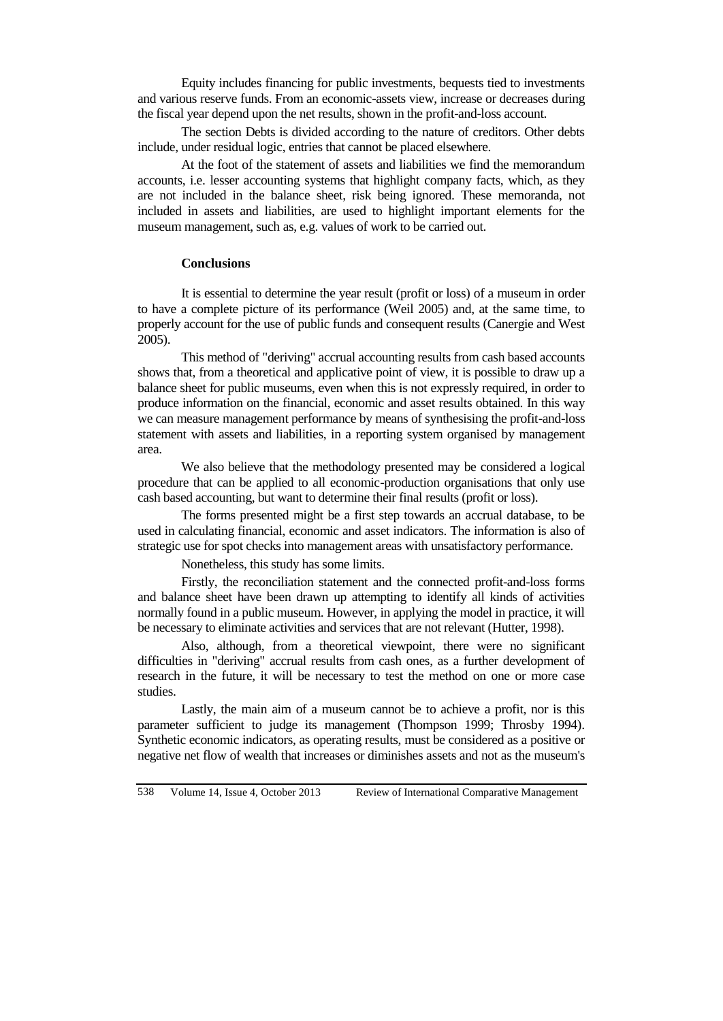Equity includes financing for public investments, bequests tied to investments and various reserve funds. From an economic-assets view, increase or decreases during the fiscal year depend upon the net results, shown in the profit-and-loss account.

The section Debts is divided according to the nature of creditors. Other debts include, under residual logic, entries that cannot be placed elsewhere.

At the foot of the statement of assets and liabilities we find the memorandum accounts, i.e. lesser accounting systems that highlight company facts, which, as they are not included in the balance sheet, risk being ignored. These memoranda, not included in assets and liabilities, are used to highlight important elements for the museum management, such as, e.g. values of work to be carried out.

# **Conclusions**

It is essential to determine the year result (profit or loss) of a museum in order to have a complete picture of its performance (Weil 2005) and, at the same time, to properly account for the use of public funds and consequent results (Canergie and West 2005).

This method of "deriving" accrual accounting results from cash based accounts shows that, from a theoretical and applicative point of view, it is possible to draw up a balance sheet for public museums, even when this is not expressly required, in order to produce information on the financial, economic and asset results obtained. In this way we can measure management performance by means of synthesising the profit-and-loss statement with assets and liabilities, in a reporting system organised by management area.

We also believe that the methodology presented may be considered a logical procedure that can be applied to all economic-production organisations that only use cash based accounting, but want to determine their final results (profit or loss).

The forms presented might be a first step towards an accrual database, to be used in calculating financial, economic and asset indicators. The information is also of strategic use for spot checks into management areas with unsatisfactory performance.

Nonetheless, this study has some limits.

Firstly, the reconciliation statement and the connected profit-and-loss forms and balance sheet have been drawn up attempting to identify all kinds of activities normally found in a public museum. However, in applying the model in practice, it will be necessary to eliminate activities and services that are not relevant (Hutter, 1998).

Also, although, from a theoretical viewpoint, there were no significant difficulties in "deriving" accrual results from cash ones, as a further development of research in the future, it will be necessary to test the method on one or more case studies.

Lastly, the main aim of a museum cannot be to achieve a profit, nor is this parameter sufficient to judge its management (Thompson 1999; Throsby 1994). Synthetic economic indicators, as operating results, must be considered as a positive or negative net flow of wealth that increases or diminishes assets and not as the museum's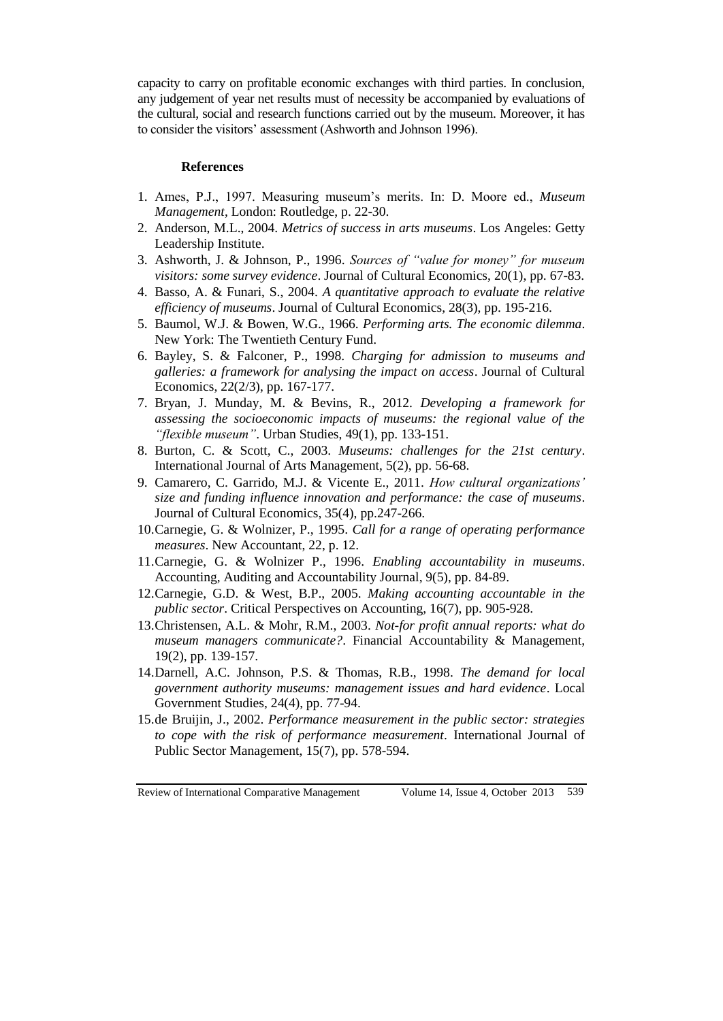capacity to carry on profitable economic exchanges with third parties. In conclusion, any judgement of year net results must of necessity be accompanied by evaluations of the cultural, social and research functions carried out by the museum. Moreover, it has to consider the visitors' assessment (Ashworth and Johnson 1996).

#### **References**

- 1. Ames, P.J., 1997. Measuring museum's merits. In: D. Moore ed., *Museum Management*, London: Routledge, p. 22-30.
- 2. Anderson, M.L., 2004. *Metrics of success in arts museums*. Los Angeles: Getty Leadership Institute.
- 3. Ashworth, J. & Johnson, P., 1996. *Sources of "value for money" for museum visitors: some survey evidence*. Journal of Cultural Economics, 20(1), pp. 67-83.
- 4. Basso, A. & Funari, S., 2004. *A quantitative approach to evaluate the relative efficiency of museums*. Journal of Cultural Economics, 28(3), pp. 195-216.
- 5. Baumol, W.J. & Bowen, W.G., 1966. *Performing arts. The economic dilemma*. New York: The Twentieth Century Fund.
- 6. Bayley, S. & Falconer, P., 1998. *Charging for admission to museums and galleries: a framework for analysing the impact on access*. Journal of Cultural Economics, 22(2/3), pp. 167-177.
- 7. Bryan, J. Munday, M. & Bevins, R., 2012. *Developing a framework for assessing the socioeconomic impacts of museums: the regional value of the "flexible museum"*. Urban Studies, 49(1), pp. 133-151.
- 8. Burton, C. & Scott, C., 2003. *Museums: challenges for the 21st century*. International Journal of Arts Management, 5(2), pp. 56-68.
- 9. Camarero, C. Garrido, M.J. & Vicente E., 2011. *How cultural organizations' size and funding influence innovation and performance: the case of museums*. Journal of Cultural Economics, 35(4), pp.247-266.
- 10.Carnegie, G. & Wolnizer, P., 1995. *Call for a range of operating performance measures*. New Accountant, 22, p. 12.
- 11.Carnegie, G. & Wolnizer P., 1996. *Enabling accountability in museums*. Accounting, Auditing and Accountability Journal, 9(5), pp. 84-89.
- 12.Carnegie, G.D. & West, B.P., 2005. *Making accounting accountable in the public sector*. Critical Perspectives on Accounting, 16(7), pp. 905-928.
- 13.Christensen, A.L. & Mohr, R.M., 2003. *Not-for profit annual reports: what do museum managers communicate?*. Financial Accountability & Management, 19(2), pp. 139-157.
- 14.Darnell, A.C. Johnson, P.S. & Thomas, R.B., 1998. *The demand for local government authority museums: management issues and hard evidence*. Local Government Studies, 24(4), pp. 77-94.
- 15.de Bruijin, J., 2002. *Performance measurement in the public sector: strategies to cope with the risk of performance measurement*. International Journal of Public Sector Management, 15(7), pp. 578-594.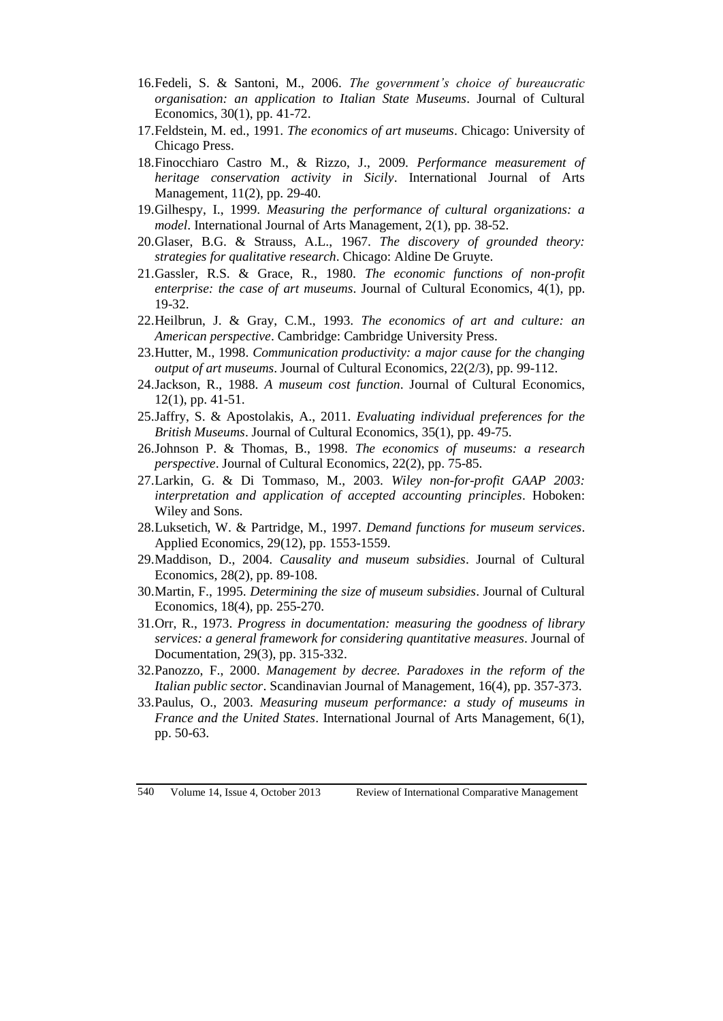- 16.Fedeli, S. & Santoni, M., 2006. *The government's choice of bureaucratic organisation: an application to Italian State Museums*. Journal of Cultural Economics, 30(1), pp. 41-72.
- 17.Feldstein, M. ed., 1991. *The economics of art museums*. Chicago: University of Chicago Press.
- 18.Finocchiaro Castro M., & Rizzo, J., 2009. *Performance measurement of heritage conservation activity in Sicily*. International Journal of Arts Management, 11(2), pp. 29-40.
- 19.Gilhespy, I., 1999. *Measuring the performance of cultural organizations: a model*. International Journal of Arts Management, 2(1), pp. 38-52.
- 20.Glaser, B.G. & Strauss, A.L., 1967. *The discovery of grounded theory: strategies for qualitative research*. Chicago: Aldine De Gruyte.
- 21.Gassler, R.S. & Grace, R., 1980. *The economic functions of non-profit enterprise: the case of art museums*. Journal of Cultural Economics, 4(1), pp. 19-32.
- 22.Heilbrun, J. & Gray, C.M., 1993. *The economics of art and culture: an American perspective*. Cambridge: Cambridge University Press.
- 23.Hutter, M., 1998. *Communication productivity: a major cause for the changing output of art museums*. Journal of Cultural Economics, 22(2/3), pp. 99-112.
- 24.Jackson, R., 1988. *A museum cost function*. Journal of Cultural Economics, 12(1), pp. 41-51.
- 25.Jaffry, S. & Apostolakis, A., 2011. *Evaluating individual preferences for the British Museums*. Journal of Cultural Economics, 35(1), pp. 49-75.
- 26.Johnson P. & Thomas, B., 1998. *The economics of museums: a research perspective*. Journal of Cultural Economics, 22(2), pp. 75-85.
- 27.Larkin, G. & Di Tommaso, M., 2003. *Wiley non-for-profit GAAP 2003: interpretation and application of accepted accounting principles*. Hoboken: Wiley and Sons.
- 28.Luksetich, W. & Partridge, M., 1997. *Demand functions for museum services*. Applied Economics, 29(12), pp. 1553-1559.
- 29.Maddison, D., 2004. *Causality and museum subsidies*. Journal of Cultural Economics, 28(2), pp. 89-108.
- 30.Martin, F., 1995. *Determining the size of museum subsidies*. Journal of Cultural Economics, 18(4), pp. 255-270.
- 31.Orr, R., 1973. *Progress in documentation: measuring the goodness of library services: a general framework for considering quantitative measures*. Journal of Documentation, 29(3), pp. 315-332.
- 32.Panozzo, F., 2000. *Management by decree. Paradoxes in the reform of the Italian public sector*. Scandinavian Journal of Management, 16(4), pp. 357-373.
- 33.Paulus, O., 2003. *Measuring museum performance: a study of museums in France and the United States*. International Journal of Arts Management, 6(1), pp. 50-63.